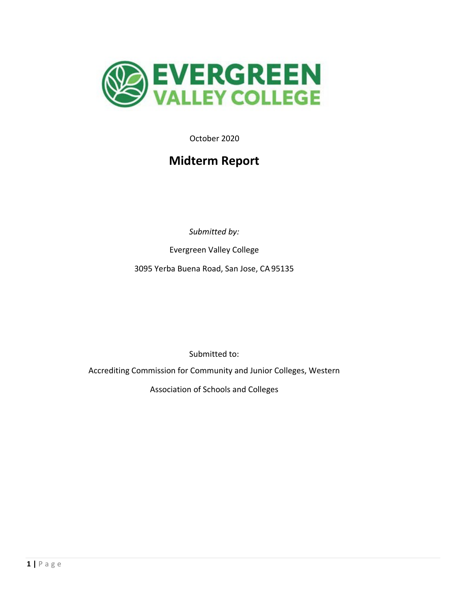

October 2020

# **Midterm Report**

*Submitted by:*

Evergreen Valley College

3095 Yerba Buena Road, San Jose, CA 95135

Submitted to:

Accrediting Commission for Community and Junior Colleges, Western

Association of Schools and Colleges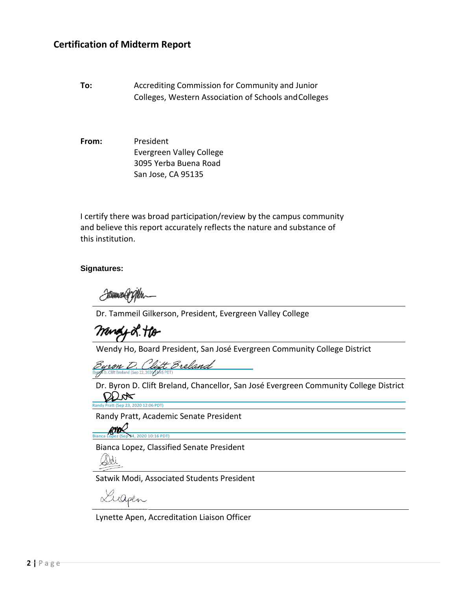## **Certification of Midterm Report**

**To:** Accrediting Commission for Community and Junior Colleges, Western Association of Schools andColleges

**From:** President Evergreen Valley College 3095 Yerba Buena Road San Jose, CA 95135

I certify there was broad participation/review by the campus community and believe this report accurately reflects the nature and substance of this institution.

#### **Signatures:**

YAHANNUNGUYA

Dr. Tammeil Gilkerson, President, Evergreen Valley College

mengy 2. Ho

Wendy Ho, Board President, San José Evergreen Community College District

rron D. Clift Breland

Dr. Byron D. Clift Breland, Chancellor, San José Evergreen Community College District  $QLx$ [Randy Pratt \(Sep 23, 2020 12:06 PDT\)](https://sjeccd.na2.documents.adobe.com/verifier?tx=CBJCHBCAABAAgYPS1nJBeNIdhJ0IARcM7VThYIQ8y4u8)

Randy Pratt, Academic Senate President<br>
Rianca Lopez (Sep x4, 2020 10:16 PDT)

z (Sep 24, 2020 10:16 PDT)

Bianca Lopez, Classified Senate President



\_

Satwik Modi, Associated Students President

 $\mathcal{L}$ 

Lynette Apen, Accreditation Liaison Officer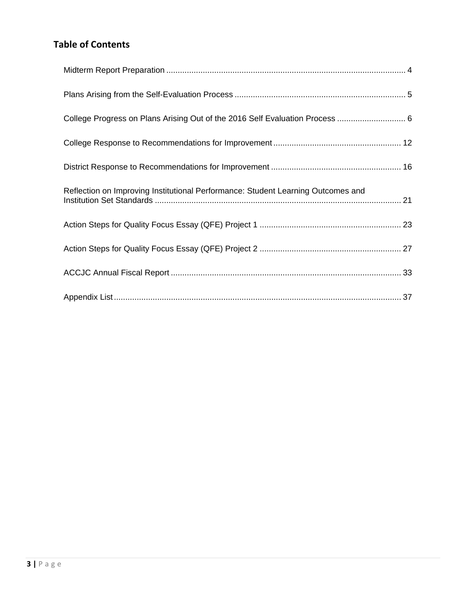# **Table of Contents**

| College Progress on Plans Arising Out of the 2016 Self Evaluation Process  6     |  |
|----------------------------------------------------------------------------------|--|
|                                                                                  |  |
|                                                                                  |  |
| Reflection on Improving Institutional Performance: Student Learning Outcomes and |  |
|                                                                                  |  |
|                                                                                  |  |
|                                                                                  |  |
|                                                                                  |  |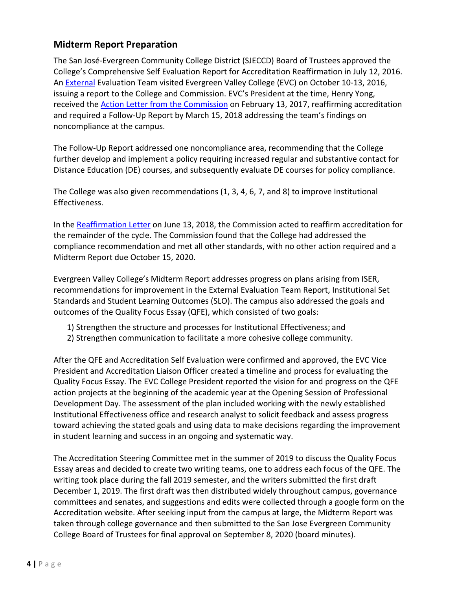# <span id="page-3-0"></span>**Midterm Report Preparation**

The San José-Evergreen Community College District (SJECCD) Board of Trustees approved the College's Comprehensive Self Evaluation Report for Accreditation Reaffirmation in July 12, 2016. An [External](http://www.evc.edu/AcademicAffairs/Documents/EVC_Accreditation_2016-self-evaluation-report.pdf) Evaluation Team visited Evergreen Valley College (EVC) on October 10-13, 2016, issuing a report to the College and Commission. EVC's President at the time, Henry Yong, received the [Action Letter from the Commission](http://www.evc.edu/AcademicAffairs/Documents/Evergreen_Valley_College_Accreditation_Reaffirmation_Letter_02_03_2017.pdf) on February 13, 2017, reaffirming accreditation and required a Follow-Up Report by March 15, 2018 addressing the team's findings on noncompliance at the campus.

The Follow-Up Report addressed one noncompliance area, recommending that the College further develop and implement a policy requiring increased regular and substantive contact for Distance Education (DE) courses, and subsequently evaluate DE courses for policy compliance.

The College was also given recommendations (1, 3, 4, 6, 7, and 8) to improve Institutional Effectiveness.

In the [Reaffirmation Letter](http://www.evc.edu/AcademicAffairs/Documents/ACCJC-Reaffirmation-Letter_06_13_2018.pdf) on June 13, 2018, the Commission acted to reaffirm accreditation for the remainder of the cycle. The Commission found that the College had addressed the compliance recommendation and met all other standards, with no other action required and a Midterm Report due October 15, 2020.

Evergreen Valley College's Midterm Report addresses progress on plans arising from ISER, recommendations for improvement in the External Evaluation Team Report, Institutional Set Standards and Student Learning Outcomes (SLO). The campus also addressed the goals and outcomes of the Quality Focus Essay (QFE), which consisted of two goals:

- 1) Strengthen the structure and processes for Institutional Effectiveness; and
- 2) Strengthen communication to facilitate a more cohesive college community.

After the QFE and Accreditation Self Evaluation were confirmed and approved, the EVC Vice President and Accreditation Liaison Officer created a timeline and process for evaluating the Quality Focus Essay. The EVC College President reported the vision for and progress on the QFE action projects at the beginning of the academic year at the Opening Session of Professional Development Day. The assessment of the plan included working with the newly established Institutional Effectiveness office and research analyst to solicit feedback and assess progress toward achieving the stated goals and using data to make decisions regarding the improvement in student learning and success in an ongoing and systematic way.

The Accreditation Steering Committee met in the summer of 2019 to discuss the Quality Focus Essay areas and decided to create two writing teams, one to address each focus of the QFE. The writing took place during the fall 2019 semester, and the writers submitted the first draft December 1, 2019. The first draft was then distributed widely throughout campus, governance committees and senates, and suggestions and edits were collected through a google form on the Accreditation website. After seeking input from the campus at large, the Midterm Report was taken through college governance and then submitted to the San Jose Evergreen Community College Board of Trustees for final approval on September 8, 2020 (board minutes).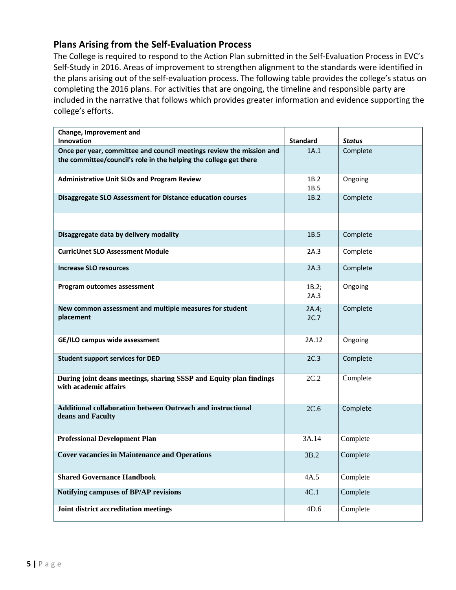# <span id="page-4-0"></span>**Plans Arising from the Self-Evaluation Process**

The College is required to respond to the Action Plan submitted in the Self-Evaluation Process in EVC's Self-Study in 2016. Areas of improvement to strengthen alignment to the standards were identified in the plans arising out of the self-evaluation process. The following table provides the college's status on completing the 2016 plans. For activities that are ongoing, the timeline and responsible party are included in the narrative that follows which provides greater information and evidence supporting the college's efforts.

| Change, Improvement and<br>Innovation                                                                                                     | <b>Standard</b> | <b>Status</b> |
|-------------------------------------------------------------------------------------------------------------------------------------------|-----------------|---------------|
| Once per year, committee and council meetings review the mission and<br>the committee/council's role in the helping the college get there | 1A.1            | Complete      |
| <b>Administrative Unit SLOs and Program Review</b>                                                                                        | 1B.2<br>1B.5    | Ongoing       |
| Disaggregate SLO Assessment for Distance education courses                                                                                | 1B.2            | Complete      |
|                                                                                                                                           |                 |               |
| Disaggregate data by delivery modality                                                                                                    | 1B.5            | Complete      |
| <b>CurricUnet SLO Assessment Module</b>                                                                                                   | 2A.3            | Complete      |
| <b>Increase SLO resources</b>                                                                                                             | 2A.3            | Complete      |
| Program outcomes assessment                                                                                                               | 1B.2;<br>2A.3   | Ongoing       |
| New common assessment and multiple measures for student<br>placement                                                                      | 2A.4;<br>2C.7   | Complete      |
| GE/ILO campus wide assessment                                                                                                             | 2A.12           | Ongoing       |
| <b>Student support services for DED</b>                                                                                                   | 2C.3            | Complete      |
| During joint deans meetings, sharing SSSP and Equity plan findings<br>with academic affairs                                               | 2C.2            | Complete      |
| <b>Additional collaboration between Outreach and instructional</b><br>deans and Faculty                                                   | 2C.6            | Complete      |
| <b>Professional Development Plan</b>                                                                                                      | 3A.14           | Complete      |
| <b>Cover vacancies in Maintenance and Operations</b>                                                                                      | 3B.2            | Complete      |
| <b>Shared Governance Handbook</b>                                                                                                         | 4A.5            | Complete      |
| Notifying campuses of BP/AP revisions                                                                                                     | 4C.1            | Complete      |
| Joint district accreditation meetings                                                                                                     | 4D.6            | Complete      |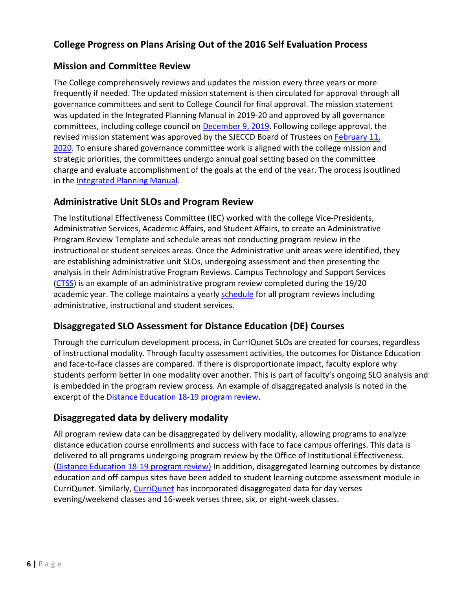# <span id="page-5-0"></span>**College Progress on Plans Arising Out of the 2016 Self Evaluation Process**

## **Mission and Committee Review**

The College comprehensively reviews and updates the mission every three years or more frequently if needed. The updated mission statement is then circulated for approval through all governance committees and sent to College Council for final approval. The mission statement was updated in the Integrated Planning Manual in 2019-20 and approved by all governance committees, including college council on [December 9, 2019. F](https://www.evc.edu/AcademicAffairs/Documents/College-Council-Minutes-December-9-19.pdf)ollowing college approval, the revised mission statement was approved by the SJECCD Board of Trustees on [February 11,](https://www.evc.edu/AcademicAffairs/Documents/BOT-ApprovalEVCMissionRevision-feb-11-2020.pdf) [2020. T](https://www.evc.edu/AcademicAffairs/Documents/BOT-ApprovalEVCMissionRevision-feb-11-2020.pdf)o ensure shared governance committee work is aligned with the college mission and strategic priorities, the committees undergo annual goal setting based on the committee charge and evaluate accomplishment of the goals at the end of the year. The process isoutlined in the [Integrated Planning](https://www.evc.edu/AcademicAffairs/Documents/EVCIntegratedPlanningManual-2019.pdf) Manual.

## **Administrative Unit SLOs and Program Review**

The Institutional Effectiveness Committee (IEC) worked with the college Vice-Presidents, Administrative Services, Academic Affairs, and Student Affairs, to create an Administrative Program Review Template and schedule areas not conducting program review in the instructional or student services areas. Once the Administrative unit areas were identified, they are establishing administrative unit SLOs, undergoing assessment and then presenting the analysis in their Administrative Program Reviews. Campus Technology and Support Services [\(CTSS\)](https://www.evc.edu/AcademicAffairs/Documents/CTSS-AUO-PR.pdf) is an example of an administrative program review completed during the 19/20 academic year. The college maintains a yearly [schedule](https://www.evc.edu/AcademicAffairs/Documents/PR_Schedule_all_June22_2020.xlsx) for all program reviews including administrative, instructional and student services.

# **Disaggregated SLO Assessment for Distance Education (DE) Courses**

Through the curriculum development process, in CurrIQunet SLOs are created for courses, regardless of instructional modality. Through faculty assessment activities, the outcomes for Distance Education and face-to-face classes are compared. If there is disproportionate impact, faculty explore why students perform better in one modality over another. This is part of faculty's ongoing SLO analysis and is embedded in the program review process. An example of disaggregated analysis is noted in the excerpt of the [Distance Education 18-19 program](https://www.evc.edu/AcademicAffairs/Documents/DED-19-19-PR.docx) review.

# **Disaggregated data by delivery modality**

All program review data can be disaggregated by delivery modality, allowing programs to analyze distance education course enrollments and success with face to face campus offerings. This data is delivered to all programs undergoing program review by the Office of Institutional Effectiveness. [\(Distance Education 18-19 program review](https://www.evc.edu/AcademicAffairs/Documents/DED-19-19-PR.docx)[\)](https://www.evc.edu/AcademicAffairs/Documents/19-20-PR-ESL-DataSet.xlsx) In addition, disaggregated learning outcomes by distance education and off-campus sites have been added to student learning outcome assessment module in CurriQunet. Similarly, [CurriQunet](https://www.evc.edu/AcademicAffairs/Documents/CurriQunet-Diasag-data-CurriculumDevelopment.docx) has incorporated disaggregated data for day verses evening/weekend classes and 16-week verses three, six, or eight-week classes.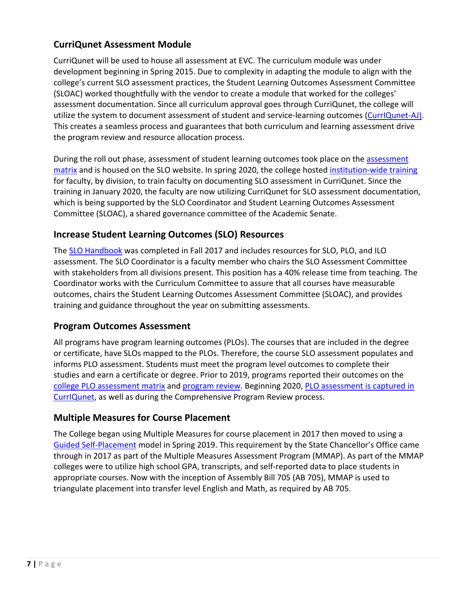# **CurriQunet Assessment Module**

CurriQunet will be used to house all assessment at EVC. The curriculum module was under development beginning in Spring 2015. Due to complexity in adapting the module to align with the college's current SLO assessment practices, the Student Learning Outcomes Assessment Committee (SLOAC) worked thoughtfully with the vendor to create a module that worked for the colleges' assessment documentation. Since all curriculum approval goes through CurriQunet, the college will utilize the system to document assessment of student and service-learning outcomes [\(CurrIQunet-AJ\).](https://www.evc.edu/AcademicAffairs/Documents/CurrIQunet-AJ.-SLO-Assessment-Sample.docx) This creates a seamless process and guarantees that both curriculum and learning assessment drive the program review and resource allocation process.

During the roll out phase, [assessment](https://www.evc.edu/AcademicAffairs/Documents/assessment-matrix_NURS_002A.pdf) of student learning outcomes took place on the assessment [matrix](https://www.evc.edu/AcademicAffairs/Documents/assessment-matrix_NURS_002A.pdf) and is housed on the SLO website. In spring 2020, the college hosted [institution-wide training](https://www.evc.edu/AcademicAffairs/Documents/institution-wide-CurriQunet-training-PDD-Spr2020-Agenda.pdf) for faculty, by division, to train faculty on documenting SLO assessment in CurriQunet. Since the training in January 2020, the faculty are now utilizing CurriQunet for SLO assessment documentation, which is being supported by the SLO Coordinator and Student Learning Outcomes Assessment Committee (SLOAC), a shared governance committee of the Academic Senate.

# **Increase Student Learning Outcomes (SLO) Resources**

The [SLO Handbook](https://www.evc.edu/AcademicAffairs/Documents/SLO%20Handbook%20Fall%202017.docx) was completed in Fall 2017 and includes resources for SLO, PLO, and ILO assessment. The SLO Coordinator is a faculty member who chairs the SLO Assessment Committee with stakeholders from all divisions present. This position has a 40% release time from teaching. The Coordinator works with the Curriculum Committee to assure that all courses have measurable outcomes, chairs the Student Learning Outcomes Assessment Committee (SLOAC), and provides training and guidance throughout the year on submitting assessments.

# **Program Outcomes Assessment**

All programs have program learning outcomes (PLOs). The courses that are included in the degree or certificate, have SLOs mapped to the PLOs. Therefore, the course SLO assessment populates and informs PLO assessment. Students must meet the program level outcomes to complete their studies and earn a certificate or degree. Prior to 2019, programs reported their outcomes on the [college PLO assessment matrix](https://www.evc.edu/AcademicAffairs/Documents/college-PLO-matrix-Engineering-PLO-18.docx) and [program review.](https://www.evc.edu/AcademicAffairs/Documents/program-review_Nursing-PartC.pdf) Beginning 2020, [PLO assessment is captured in](https://www.evc.edu/AcademicAffairs/Documents/PLO-Assessment-CurrIQunet.docx) [CurrIQunet,](https://www.evc.edu/AcademicAffairs/Documents/PLO-Assessment-CurrIQunet.docx) as well as during the Comprehensive Program Review process.

# **Multiple Measures for Course Placement**

The College began using Multiple Measures for course placement in 2017 then moved to using a [Guided Self-Placement](https://www.evc.edu/current-students/evc-first-stop/self-guided-placement) model in Spring 2019. This requirement by the State Chancellor's Office came through in 2017 as part of the Multiple Measures Assessment Program (MMAP). As part of the MMAP colleges were to utilize high school GPA, transcripts, and self-reported data to place students in appropriate courses. Now with the inception of Assembly Bill 705 (AB 705), MMAP is used to triangulate placement into transfer level English and Math, as required by AB 705.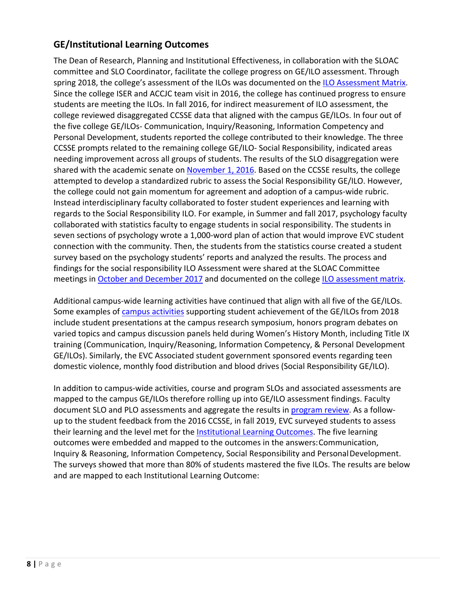# **GE/Institutional Learning Outcomes**

The Dean of Research, Planning and Institutional Effectiveness, in collaboration with the SLOAC committee and SLO Coordinator, facilitate the college progress on GE/ILO assessment. Through spring 2018, the college's assessment of the ILOs was documented on the [ILO Assessment Matrix.](https://www.evc.edu/AcademicAffairs/Documents/ILO_Assessment-Matrix.docx) Since the college ISER and ACCJC team visit in 2016, the college has continued progress to ensure students are meeting the ILOs. In fall 2016, for indirect measurement of ILO assessment, the college reviewed disaggregated CCSSE data that aligned with the campus GE/ILOs. In four out of the five college GE/ILOs- Communication, Inquiry/Reasoning, Information Competency and Personal Development, students reported the college contributed to their knowledge. The three CCSSE prompts related to the remaining college GE/ILO- Social Responsibility, indicated areas needing improvement across all groups of students. The results of the SLO disaggregation were shared with the academic senate on [November 1, 2016. B](https://www.evc.edu/AcademicAffairs/Documents/November-2016-AS-agenda-ILO-Evidence-SLO-DisagReport.pdf)ased on the CCSSE results, the college attempted to develop a standardized rubric to assess the Social Responsibility GE/ILO. However, the college could not gain momentum for agreement and adoption of a campus-wide rubric. Instead interdisciplinary faculty collaborated to foster student experiences and learning with regards to the Social Responsibility ILO. For example, in Summer and fall 2017, psychology faculty collaborated with statistics faculty to engage students in social responsibility. The students in seven sections of psychology wrote a 1,000-word plan of action that would improve EVC student connection with the community. Then, the students from the statistics course created a student survey based on the psychology students' reports and analyzed the results. The process and findings for the social responsibility ILO Assessment were shared at the SLOAC Committee meetings in [October and December 2017](https://www.evc.edu/AcademicAffairs/Documents/Oct-and-Dec-SLOAC-minutes.pdf) and documented on the college [ILO assessment](https://www.evc.edu/AcademicAffairs/Documents/ILO_Assessment-Matrix.docx) matrix.

Additional campus-wide learning activities have continued that align with all five of the GE/ILOs. Some examples of [campus activities](https://www.evc.edu/AcademicAffairs/Documents/CampusActivities-ILOEvidence-2018.pdf) supporting student achievement of the GE/ILOs from 2018 include student presentations at the campus research symposium, honors program debates on varied topics and campus discussion panels held during Women's History Month, including Title IX training (Communication, Inquiry/Reasoning, Information Competency, & Personal Development GE/ILOs). Similarly, the EVC Associated student government sponsored events regarding teen domestic violence, monthly food distribution and blood drives (Social Responsibility GE/ILO).

In addition to campus-wide activities, course and program SLOs and associated assessments are mapped to the campus GE/ILOs therefore rolling up into GE/ILO assessment findings. Faculty document SLO and PLO assessments and aggregate the results in [program review.](https://www.evc.edu/AcademicAffairs/Documents/program-review_Nursing-PartC.pdf) As a followup to the student feedback from the 2016 CCSSE, in fall 2019, EVC surveyed students to assess their learning and the level met for the [Institutional Learning Outcomes.](http://www.evc.edu/AcademicAffairs/Documents/evc_ilos_defined.pdf) The five learning outcomes were embedded and mapped to the outcomes in the answers:Communication, Inquiry & Reasoning, Information Competency, Social Responsibility and PersonalDevelopment. The surveys showed that more than 80% of students mastered the five ILOs. The results are below and are mapped to each Institutional Learning Outcome: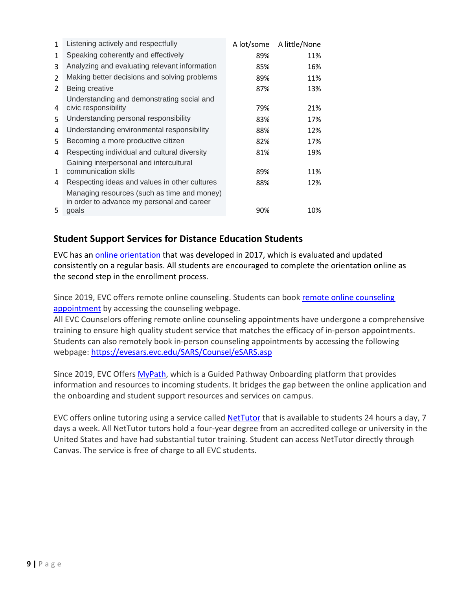| $\mathbf{1}$   | Listening actively and respectfully                                                       | A lot/some | A little/None |
|----------------|-------------------------------------------------------------------------------------------|------------|---------------|
| 1              | Speaking coherently and effectively                                                       | 89%        | 11%           |
| 3              | Analyzing and evaluating relevant information                                             | 85%        | 16%           |
| 2              | Making better decisions and solving problems                                              | 89%        | 11%           |
| $\overline{2}$ | Being creative                                                                            | 87%        | 13%           |
| 4              | Understanding and demonstrating social and<br>civic responsibility                        | 79%        | 21%           |
| 5.             | Understanding personal responsibility                                                     | 83%        | 17%           |
| 4              | Understanding environmental responsibility                                                | 88%        | 12%           |
| 5              | Becoming a more productive citizen                                                        | 82%        | 17%           |
| 4              | Respecting individual and cultural diversity                                              | 81%        | 19%           |
| 1              | Gaining interpersonal and intercultural<br>communication skills                           | 89%        | 11%           |
| 4              | Respecting ideas and values in other cultures                                             | 88%        | 12%           |
|                | Managing resources (such as time and money)<br>in order to advance my personal and career |            |               |
| 5.             | goals                                                                                     | 90%        | 10%           |

# **Student Support Services for Distance Education Students**

EVC has an [online orientation](https://sjeccd.instructure.com/enroll/XBBA4F) that was developed in 2017, which is evaluated and updated consistently on a regular basis. All students are encouraged to complete the orientation online as the second step in the enrollment process.

Since 2019, EVC offers remote online counseling. Students can book remote online counseling [appointment](https://evesars.evc.edu/SARS/Counsel_Online/eSARS.asp) by accessing the counseling webpage.

All EVC Counselors offering remote online counseling appointments have undergone a comprehensive training to ensure high quality student service that matches the efficacy of in-person appointments. Students can also remotely book in-person counseling appointments by accessing the following webpage:<https://evesars.evc.edu/SARS/Counsel/eSARS.asp>

Since 2019, EVC Offers [MyPath,](https://www.evc.edu/current-students/admissions-and-records/mypath) which is a Guided Pathway Onboarding platform that provides information and resources to incoming students. It bridges the gap between the online application and the onboarding and student support resources and services on campus.

EVC offers online tutoring using a service called **NetTutor** that is available to students 24 hours a day, 7 days a week. All NetTutor tutors hold a four-year degree from an accredited college or university in the United States and have had substantial tutor training. Student can access NetTutor directly through Canvas. The service is free of charge to all EVC students.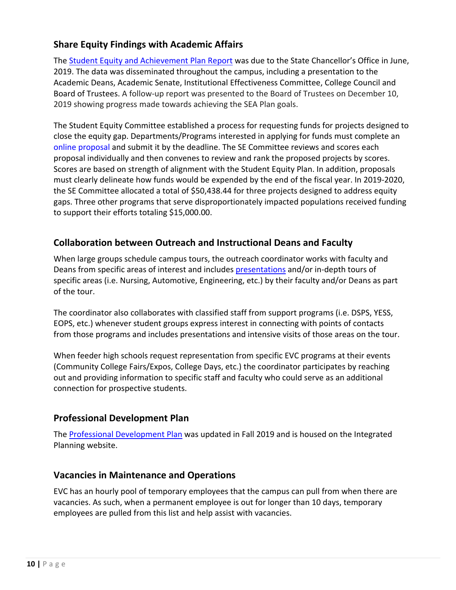# **Share Equity Findings with Academic Affairs**

The **Student Equity and Achievement Plan Report** was due to the State Chancellor's Office in June, 2019. The data was disseminated throughout the campus, including a presentation to the Academic Deans, Academic Senate, Institutional Effectiveness Committee, College Council and Board of Trustees. A follow-up report was presented to the Board of Trustees on December 10, 2019 showing progress made towards achieving the SEA Plan goals.

The Student Equity Committee established a process for requesting funds for projects designed to close the equity gap. Departments/Programs interested in applying for funds must complete an [online proposal a](https://sjeccd.academicworks.com/opportunities/1902)nd submit it by the deadline. The SE Committee reviews and scores each proposal individually and then convenes to review and rank the proposed projects by scores. Scores are based on strength of alignment with the Student Equity Plan. In addition, proposals must clearly delineate how funds would be expended by the end of the fiscal year. In 2019-2020, the SE Committee allocated a total of \$50,438.44 for three projects designed to address equity gaps. Three other programs that serve disproportionately impacted populations received funding to support their efforts totaling \$15,000.00.

# **Collaboration between Outreach and Instructional Deans and Faculty**

When large groups schedule campus tours, the outreach coordinator works with faculty and Deans from specific areas of interest and includes [presentations](https://www.evc.edu/AcademicAffairs/Documents/presentations-agenda-HS-partner-day-2019.pdf) and/or in-depth tours of specific areas (i.e. Nursing, Automotive, Engineering, etc.) by their faculty and/or Deans as part of the tour.

The coordinator also collaborates with classified staff from support programs (i.e. DSPS, YESS, EOPS, etc.) whenever student groups express interest in connecting with points of contacts from those programs and includes presentations and intensive visits of those areas on the tour.

When feeder high schools request representation from specific EVC programs at their events (Community College Fairs/Expos, College Days, etc.) the coordinator participates by reaching out and providing information to specific staff and faculty who could serve as an additional connection for prospective students.

# **Professional Development Plan**

The [Professional Development Plan](https://www.evc.edu/President/Documents/Professional_Development_Plan_2019-2020.pdf) was updated in Fall 2019 and is housed on the Integrated Planning website.

## **Vacancies in Maintenance and Operations**

EVC has an hourly pool of temporary employees that the campus can pull from when there are vacancies. As such, when a permanent employee is out for longer than 10 days, temporary employees are pulled from this list and help assist with vacancies.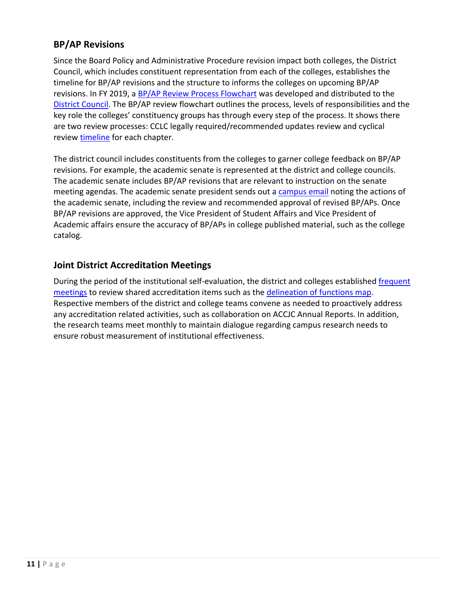# **BP/AP Revisions**

Since the Board Policy and Administrative Procedure revision impact both colleges, the District Council, which includes constituent representation from each of the colleges, establishes the timeline for BP/AP revisions and the structure to informs the colleges on upcoming BP/AP revisions. In FY 2019, a [BP/AP Review Process Flowchart](https://www.evc.edu/AcademicAffairs/Documents/BP-AP-Review-Process-Flowchart.pdf) was developed and distributed to the [District Council.](https://www.evc.edu/AcademicAffairs/Documents/District_Council_Minutes_10-24-2019.pdf) The BP/AP review flowchart outlines the process, levels of responsibilities and the key role the colleges' constituency groups has through every step of the process. It shows there are two review processes: CCLC legally required/recommended updates review and cyclical [review timeline](https://www.evc.edu/AcademicAffairs/Documents/timeline-for-recommended-updates-review-and-cyclica-review.pdf) for each chapter.

The district council includes constituents from the colleges to garner college feedback on BP/AP revisions. For example, the academic senate is represented at the district and college councils. The academic senate includes BP/AP revisions that are relevant to instruction on the senate meeting agendas. The academic senate president sends out a [campus email](https://www.evc.edu/AcademicAffairs/Documents/Campus-email-AcadSenateUpdate-BP-AP.pdf) noting the actions of the academic senate, including the review and recommended approval of revised BP/APs. Once BP/AP revisions are approved, the Vice President of Student Affairs and Vice President of Academic affairs ensure the accuracy of BP/APs in college published material, such as the college catalog.

# **Joint District Accreditation Meetings**

During the period of the institutional self-evaluation, the district and colleges established [frequent](https://www.evc.edu/AcademicAffairs/Documents/frequent-meetings.pdf) [meetings](https://www.evc.edu/AcademicAffairs/Documents/frequent-meetings.pdf) to review shared accreditation items such as the [delineation of functions map.](https://www.evc.edu/AcademicAffairs/Documents/Delineation-of-function-map-Assignment-Spreadsheet.xlsx) Respective members of the district and college teams convene as needed to proactively address any accreditation related activities, such as collaboration on ACCJC Annual Reports. In addition, the research teams meet monthly to maintain dialogue regarding campus research needs to ensure robust measurement of institutional effectiveness.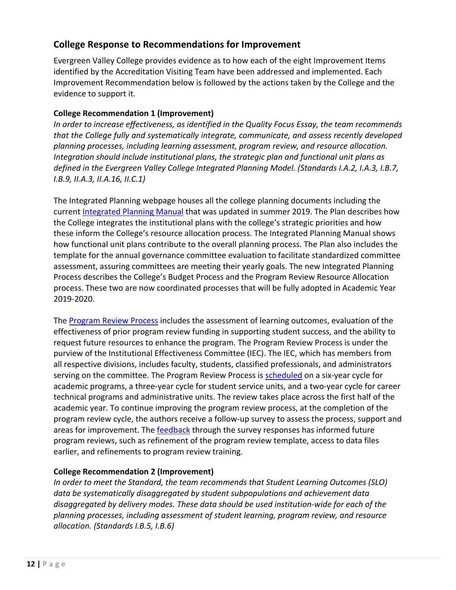## <span id="page-11-0"></span>**College Response to Recommendations for Improvement**

Evergreen Valley College provides evidence as to how each of the eight Improvement Items identified by the Accreditation Visiting Team have been addressed and implemented. Each Improvement Recommendation below is followed by the actions taken by the College and the evidence to support it.

### **College Recommendation 1 (Improvement)**

*In order to increase effectiveness, as identified in the Quality Focus Essay, the team recommends that the College fully and systematically integrate, communicate, and assess recently developed planning processes, including learning assessment, program review, and resource allocation. Integration should include institutional plans, the strategic plan and functional unit plans as defined in the Evergreen Valley College Integrated Planning Model. (Standards I.A.2, I.A.3, I.B.7, I.B.9, II.A.3, II.A.16, II.C.1)*

The Integrated Planning webpage houses all the college planning documents including the current [Integrated Planning Manual](https://www.evc.edu/AcademicAffairs/Documents/EVCIntegratedPlanningManual-2019.pdf) that was updated in summer 2019. The Plan describes how the College integrates the institutional plans with the college's strategic priorities and how these inform the College's resource allocation process. The Integrated Planning Manual shows how functional unit plans contribute to the overall planning process. The Plan also includes the template for the annual governance committee evaluation to facilitate standardized committee assessment, assuring committees are meeting their yearly goals. The new Integrated Planning Process describes the College's Budget Process and the Program Review Resource Allocation process. These two are now coordinated processes that will be fully adopted in Academic Year 2019-2020.

The [Program Review Process](https://www.evc.edu/AcademicAffairs/Documents/Program-review-process-PR-template.docx) includes the assessment of learning outcomes, evaluation of the effectiveness of prior program review funding in supporting student success, and the ability to request future resources to enhance the program. The Program Review Process is under the purview of the Institutional Effectiveness Committee (IEC). The IEC, which has members from all respective divisions, includes faculty, students, classified professionals, and administrators serving on the committee. The Program Review Process is [scheduled](https://www.evc.edu/AcademicAffairs/Documents/PR_Schedule_all_June22_2020.xlsx) on a six-year cycle for academic programs, a three-year cycle for student service units, and a two-year cycle for career technical programs and administrative units. The review takes place across the first half of the academic year. To continue improving the program review process, at the completion of the program review cycle, the authors receive a follow-up survey to assess the process, support and areas for improvement. The [feedback](https://www.evc.edu/AcademicAffairs/Documents/feedback.pdf) through the survey responses has informed future program reviews, such as refinement of the program review template, access to data files earlier, and refinements to program review training.

## **College Recommendation 2 (Improvement)**

*In order to meet the Standard, the team recommends that Student Learning Outcomes (SLO) data be systematically disaggregated by student subpopulations and achievement data disaggregated by delivery modes. These data should be used institution-wide for each of the planning processes, including assessment of student learning, program review, and resource allocation. (Standards I.B.5, I.B.6)*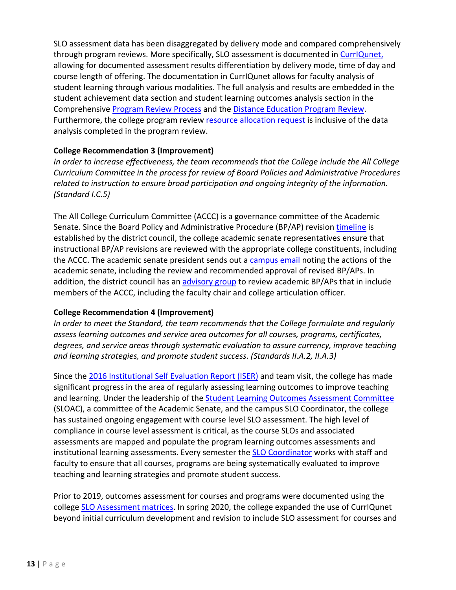SLO assessment data has been disaggregated by delivery mode and compared comprehensively through program reviews. More specifically, SLO assessment is documented in [CurrIQunet,](https://www.evc.edu/AcademicAffairs/Documents/CurriQunet-Sample-Disaggregated-data-by-delivery-modality.docx) allowing for documented assessment results differentiation by delivery mode, time of day and course length of offering. The documentation in CurrIQunet allows for faculty analysis of student learning through various modalities. The full analysis and results are embedded in the student achievement data section and student learning outcomes analysis section in the Comprehensive [Program Review Process](https://www.evc.edu/AcademicAffairs/Documents/Comprehensive-PR-template-for-2019-2020.docx) and the [Distance Education Program Review.](https://www.evc.edu/AcademicAffairs/Documents/DED-19-19-PR.docx) Furthermore, the college program review [resource allocation request](https://www.evc.edu/AcademicAffairs/Documents/Resource-Allocation-Request-through-program-review.pdf) is inclusive of the data analysis completed in the program review.

## **College Recommendation 3 (Improvement)**

*In order to increase effectiveness, the team recommends that the College include the All College Curriculum Committee in the process for review of Board Policies and Administrative Procedures related to instruction to ensure broad participation and ongoing integrity of the information. (Standard I.C.5)*

The All College Curriculum Committee (ACCC) is a governance committee of the Academic Senate. Since the Board Policy and Administrative Procedure (BP/AP) revisio[n timeline](https://www.evc.edu/AcademicAffairs/Documents/timeline-for-recommended-updates-review-and-cyclica-review.pdf) is established by the district council, the college academic senate representatives ensure that instructional BP/AP revisions are reviewed with the appropriate college constituents, including the ACCC. The academic senate president sends out a [campus email](https://www.evc.edu/AcademicAffairs/Documents/Campus-email-AcadSenateUpdate-BP-AP.pdf) noting the actions of the academic senate, including the review and recommended approval of revised BP/APs. In addition, the district council has an [advisory group](https://www.evc.edu/AcademicAffairs/Documents/Advisory-Group-District-Policies-Committee-Spring-2019.docx) to review academic BP/APs that in include members of the ACCC, including the faculty chair and college articulation officer.

## **College Recommendation 4 (Improvement)**

*In order to meet the Standard, the team recommends that the College formulate and regularly assess learning outcomes and service area outcomes for all courses, programs, certificates, degrees, and service areas through systematic evaluation to assure currency, improve teaching and learning strategies, and promote student success. (Standards II.A.2, II.A.3)*

Since the [2016 Institutional Self Evaluation Report \(ISER\)](https://www.evc.edu/discover-evc/accreditation/2016-self-evaluation-report) and team visit, the college has made significant progress in the area of regularly assessing learning outcomes to improve teaching and learning. Under the leadership of the **Student Learning Outcomes Assessment Committee** (SLOAC), a committee of the Academic Senate, and the campus SLO Coordinator, the college has sustained ongoing engagement with course level SLO assessment. The high level of compliance in course level assessment is critical, as the course SLOs and associated assessments are mapped and populate the program learning outcomes assessments and institutional learning assessments. Every semester the **SLO Coordinator** works with staff and faculty to ensure that all courses, programs are being systematically evaluated to improve teaching and learning strategies and promote student success.

Prior to 2019, outcomes assessment for courses and programs were documented using the college [SLO Assessment matrices. I](https://www.evc.edu/AcademicAffairs/Documents/assessment-matrix_NURS_002A.pdf)n spring 2020, the college expanded the use of CurrIQunet beyond initial curriculum development and revision to include SLO assessment for courses and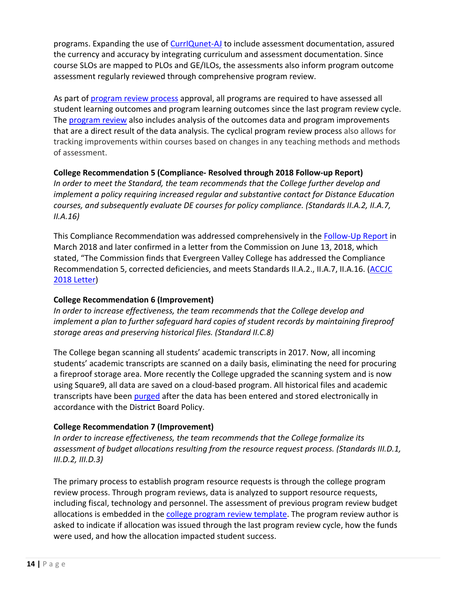programs. Expanding the use of [CurrIQunet-AJ](https://www.evc.edu/AcademicAffairs/Documents/CurrIQunet-AJ.-SLO-Assessment-Sample.docx) to include assessment documentation, assured the currency and accuracy by integrating curriculum and assessment documentation. Since course SLOs are mapped to PLOs and GE/ILOs, the assessments also inform program outcome assessment regularly reviewed through comprehensive program review.

As part of [program review process](https://www.evc.edu/AcademicAffairs/Documents/Program-review-process-PR-template.docx) approval, all programs are required to have assessed all student learning outcomes and program learning outcomes since the last program review cycle. The [program review](https://www.evc.edu/AcademicAffairs/Documents/Program-Review-PLO-SLO-Analysis-Excerpt-AJ-PR18-19.docx) also includes analysis of the outcomes data and program improvements that are a direct result of the data analysis. The cyclical program review process also allows for tracking improvements within courses based on changes in any teaching methods and methods of assessment.

## **College Recommendation 5 (Compliance- Resolved through 2018 Follow-up Report)**

*In order to meet the Standard, the team recommends that the College further develop and implement a policy requiring increased regular and substantive contact for Distance Education courses, and subsequently evaluate DE courses for policy compliance. (Standards II.A.2, II.A.7, II.A.16)*

This Compliance Recommendation was addressed comprehensively in the [Follow-Up Report](http://www.evc.edu/discover-evc/accreditation/2018-follow-up-report) in March 2018 and later confirmed in a letter from the Commission on June 13, 2018, which stated, "The Commission finds that Evergreen Valley College has addressed the Compliance Recommendation 5, corrected deficiencies, and meets Standards II.A.2., II.A.7, II.A.16. [\(ACCJC](https://www.evc.edu/AcademicAffairs/Documents/ACCJC-Reaffirmation-Letter_06_13_2018.pdf) [2018 Letter\)](https://www.evc.edu/AcademicAffairs/Documents/ACCJC-Reaffirmation-Letter_06_13_2018.pdf)

## **College Recommendation 6 (Improvement)**

*In order to increase effectiveness, the team recommends that the College develop and implement a plan to further safeguard hard copies of student records by maintaining fireproof storage areas and preserving historical files. (Standard II.C.8)*

The College began scanning all students' academic transcripts in 2017. Now, all incoming students' academic transcripts are scanned on a daily basis, eliminating the need for procuring a fireproof storage area. More recently the College upgraded the scanning system and is now using Square9, all data are saved on a cloud-based program. All historical files and academic transcripts have been [purged](https://www.evc.edu/AcademicAffairs/Documents/purged-Memo-about-fire-proof-storage.pdf) after the data has been entered and stored electronically in accordance with the District Board Policy.

## **College Recommendation 7 (Improvement)**

*In order to increase effectiveness, the team recommends that the College formalize its assessment of budget allocations resulting from the resource request process. (Standards III.D.1, III.D.2, III.D.3)*

The primary process to establish program resource requests is through the college program review process. Through program reviews, data is analyzed to support resource requests, including fiscal, technology and personnel. The assessment of previous program review budget allocations is embedded in the [college program review template.](https://www.evc.edu/AcademicAffairs/Documents/Program-review-process-PR-template.docx) The program review author is asked to indicate if allocation was issued through the last program review cycle, how the funds were used, and how the allocation impacted student success.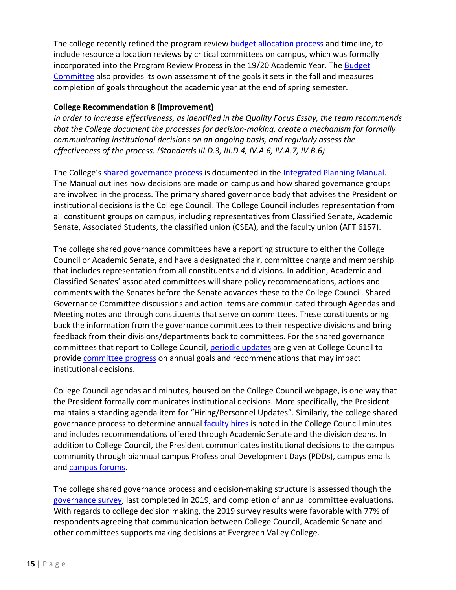The college recently refined the program review [budget allocation process](https://www.evc.edu/AcademicAffairs/Documents/Budget-allocation-process.pdf) and timeline, to include resource allocation reviews by critical committees on campus, which was formally incorporated into the Program Review Process in the 19/20 Academic Year. The [Budget](https://www.evc.edu/AcademicAffairs/Documents/Budget-Committee-Annual-Self-Eval-Report.docx) [Committee](https://www.evc.edu/AcademicAffairs/Documents/Budget-Committee-Annual-Self-Eval-Report.docx) also provides its own assessment of the goals it sets in the fall and measures completion of goals throughout the academic year at the end of spring semester.

### **College Recommendation 8 (Improvement)**

*In order to increase effectiveness, as identified in the Quality Focus Essay, the team recommends that the College document the processes for decision-making, create a mechanism for formally communicating institutional decisions on an ongoing basis, and regularly assess the effectiveness of the process. (Standards III.D.3, III.D.4, IV.A.6, IV.A.7, IV.B.6)*

The College's [shared governance process](https://www.evc.edu/AcademicAffairs/Documents/IPM_manual-pages-15-29.pdf) is documented in the [Integrated Planning Manual.](https://www.evc.edu/AcademicAffairs/Documents/EVCIntegratedPlanningManual-2019.pdf) The Manual outlines how decisions are made on campus and how shared governance groups are involved in the process. The primary shared governance body that advises the President on institutional decisions is the College Council. The College Council includes representation from all constituent groups on campus, including representatives from Classified Senate, Academic Senate, Associated Students, the classified union (CSEA), and the faculty union (AFT 6157).

The college shared governance committees have a reporting structure to either the College Council or Academic Senate, and have a designated chair, committee charge and membership that includes representation from all constituents and divisions. In addition, Academic and Classified Senates' associated committees will share policy recommendations, actions and comments with the Senates before the Senate advances these to the College Council. Shared Governance Committee discussions and action items are communicated through Agendas and Meeting notes and through constituents that serve on committees. These constituents bring back the information from the governance committees to their respective divisions and bring feedback from their divisions/departments back to committees. For the shared governance committees that report to College Council, [periodic updates](https://www.evc.edu/AcademicAffairs/Documents/periodic-updates.pdf) are given at College Council to provide [committee progress](https://www.evc.edu/AcademicAffairs/Documents/committee-progress_2018-2019_CC_Minutes-SGReports-Hiring.pdf) on annual goals and recommendations that may impact institutional decisions.

College Council agendas and minutes, housed on the College Council webpage, is one way that the President formally communicates institutional decisions. More specifically, the President maintains a standing agenda item for "Hiring/Personnel Updates". Similarly, the college shared governance process to determine annual [faculty hires](https://www.evc.edu/AcademicAffairs/Documents/faculty-hires.pdf) is noted in the College Council minutes and includes recommendations offered through Academic Senate and the division deans. In addition to College Council, the President communicates institutional decisions to the campus community through biannual campus Professional Development Days (PDDs), campus emails and [campus forums.](https://www.evc.edu/AcademicAffairs/Documents/campus-forum.pdf)

The college shared governance process and decision-making structure is assessed though the [governance survey,](https://www.evc.edu/AcademicAffairs/Documents/Governance_Survey.pdf) last completed in 2019, and completion of annual committee evaluations. With regards to college decision making, the 2019 survey results were favorable with 77% of respondents agreeing that communication between College Council, Academic Senate and other committees supports making decisions at Evergreen Valley College.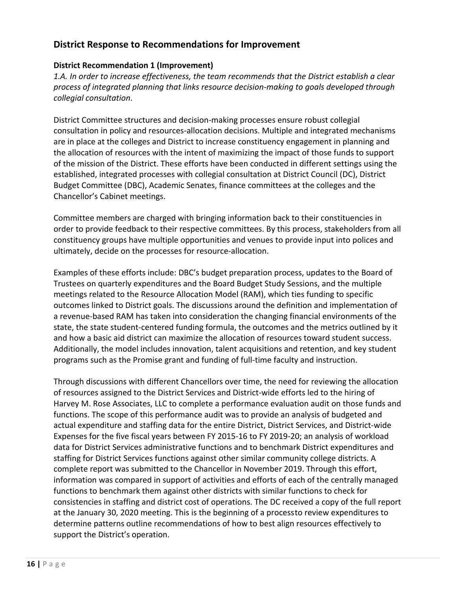## <span id="page-15-0"></span>**District Response to Recommendations for Improvement**

### **District Recommendation 1 (Improvement)**

*1.A. In order to increase effectiveness, the team recommends that the District establish a clear process of integrated planning that links resource decision-making to goals developed through collegial consultation*.

District Committee structures and decision-making processes ensure robust collegial consultation in policy and resources-allocation decisions. Multiple and integrated mechanisms are in place at the colleges and District to increase constituency engagement in planning and the allocation of resources with the intent of maximizing the impact of those funds to support of the mission of the District. These efforts have been conducted in different settings using the established, integrated processes with collegial consultation at District Council (DC), District Budget Committee (DBC), Academic Senates, finance committees at the colleges and the Chancellor's Cabinet meetings.

Committee members are charged with bringing information back to their constituencies in order to provide feedback to their respective committees. By this process, stakeholders from all constituency groups have multiple opportunities and venues to provide input into polices and ultimately, decide on the processes for resource-allocation.

Examples of these efforts include: DBC's budget preparation process, updates to the Board of Trustees on quarterly expenditures and the Board Budget Study Sessions, and the multiple meetings related to the Resource Allocation Model (RAM), which ties funding to specific outcomes linked to District goals. The discussions around the definition and implementation of a revenue-based RAM has taken into consideration the changing financial environments of the state, the state student-centered funding formula, the outcomes and the metrics outlined by it and how a basic aid district can maximize the allocation of resources toward student success. Additionally, the model includes innovation, talent acquisitions and retention, and key student programs such as the Promise grant and funding of full-time faculty and instruction.

Through discussions with different Chancellors over time, the need for reviewing the allocation of resources assigned to the District Services and District-wide efforts led to the hiring of Harvey M. Rose Associates, LLC to complete a performance evaluation audit on those funds and functions. The scope of this performance audit was to provide an analysis of budgeted and actual expenditure and staffing data for the entire District, District Services, and District-wide Expenses for the five fiscal years between FY 2015-16 to FY 2019-20; an analysis of workload data for District Services administrative functions and to benchmark District expenditures and staffing for District Services functions against other similar community college districts. A complete report was submitted to the Chancellor in November 2019. Through this effort, information was compared in support of activities and efforts of each of the centrally managed functions to benchmark them against other districts with similar functions to check for consistencies in staffing and district cost of operations. The DC received a copy of the full report at the January 30, 2020 meeting. This is the beginning of a processto review expenditures to determine patterns outline recommendations of how to best align resources effectively to support the District's operation.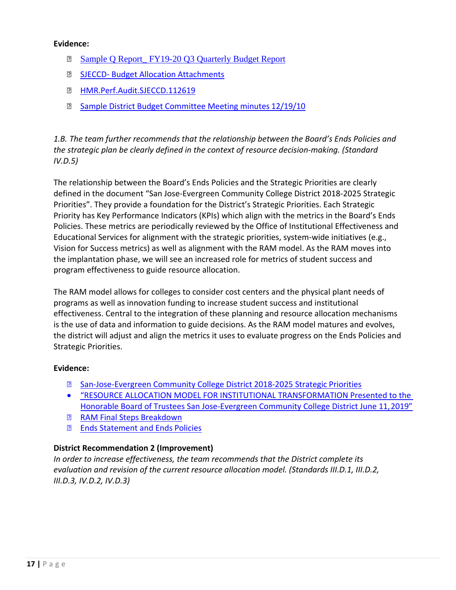#### **Evidence:**

- **Sample Q Report** FY19-20 Q3 Quarterly Budget Report
- **B** SJECCD- [Budget Allocation](https://www.evc.edu/AcademicAffairs/Documents/SJECCD-Budget-Allocation-Attachments.pdf) Attachments
- **图 [HMR.Perf.Audit.SJECCD.112619](https://www.evc.edu/AcademicAffairs/Documents/HMR-Perf-Audit-SJECCD-112519.pdf)**
- **B** [Sample District Budget Committee Meeting minutes](https://www.evc.edu/AcademicAffairs/Documents/Sample-District-Budget-Committee-Minutes-12-19-19.pdf) 12/19/10

*1.B. The team further recommends that the relationship between the Board's Ends Policies and the strategic plan be clearly defined in the context of resource decision-making. (Standard IV.D.5)*

The relationship between the Board's Ends Policies and the Strategic Priorities are clearly defined in the document "San Jose-Evergreen Community College District 2018-2025 Strategic Priorities". They provide a foundation for the District's Strategic Priorities. Each Strategic Priority has Key Performance Indicators (KPIs) which align with the metrics in the Board's Ends Policies. These metrics are periodically reviewed by the Office of Institutional Effectiveness and Educational Services for alignment with the strategic priorities, system-wide initiatives (e.g., Vision for Success metrics) as well as alignment with the RAM model. As the RAM moves into the implantation phase, we will see an increased role for metrics of student success and program effectiveness to guide resource allocation.

The RAM model allows for colleges to consider cost centers and the physical plant needs of programs as well as innovation funding to increase student success and institutional effectiveness. Central to the integration of these planning and resource allocation mechanisms is the use of data and information to guide decisions. As the RAM model matures and evolves, the district will adjust and align the metrics it uses to evaluate progress on the Ends Policies and Strategic Priorities.

## **Evidence:**

- [San-Jose-Evergreen Community College District 2018-2025 Strategic](https://www.sjeccd.edu/RIE/Documents/2018-2025_Strategic_Priorities.pdf) Priorities
- ["RESOURCE ALLOCATION MODEL FOR INSTITUTIONAL TRANSFORMATION Presented to the](https://www.evc.edu/AcademicAffairs/Documents/Resource-allocation-model-for-institutional-transformation.pdf) [Honorable Board of Trustees San Jose-Evergreen Community College District June 11,2019"](https://www.evc.edu/AcademicAffairs/Documents/Resource-allocation-model-for-institutional-transformation.pdf)
- **[RAM Final Steps](https://www.evc.edu/AcademicAffairs/Documents/RAM-final-steps-breakdown.pdf) Breakdown**
- [Ends Statement and Ends](https://www.sjeccd.edu/Chancellor/Documents/Ends%20Statement%20and%20Ends%20Policies.pdf) Policies

## **District Recommendation 2 (Improvement)**

*In order to increase effectiveness, the team recommends that the District complete its evaluation and revision of the current resource allocation model. (Standards III.D.1, III.D.2, III.D.3, IV.D.2, IV.D.3)*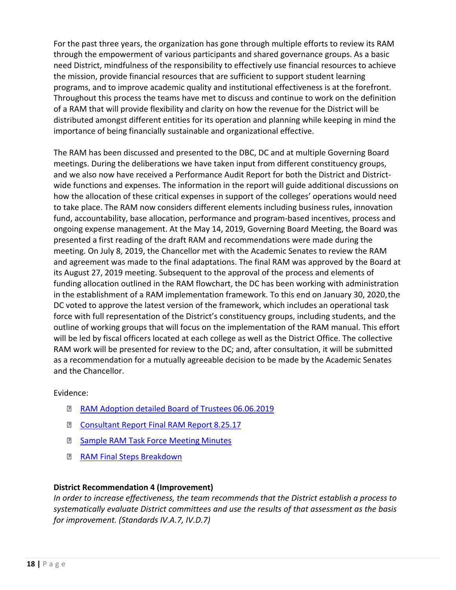For the past three years, the organization has gone through multiple efforts to review its RAM through the empowerment of various participants and shared governance groups. As a basic need District, mindfulness of the responsibility to effectively use financial resources to achieve the mission, provide financial resources that are sufficient to support student learning programs, and to improve academic quality and institutional effectiveness is at the forefront. Throughout this process the teams have met to discuss and continue to work on the definition of a RAM that will provide flexibility and clarity on how the revenue for the District will be distributed amongst different entities for its operation and planning while keeping in mind the importance of being financially sustainable and organizational effective.

The RAM has been discussed and presented to the DBC, DC and at multiple Governing Board meetings. During the deliberations we have taken input from different constituency groups, and we also now have received a Performance Audit Report for both the District and Districtwide functions and expenses. The information in the report will guide additional discussions on how the allocation of these critical expenses in support of the colleges' operations would need to take place. The RAM now considers different elements including business rules, innovation fund, accountability, base allocation, performance and program-based incentives, process and ongoing expense management. At the May 14, 2019, Governing Board Meeting, the Board was presented a first reading of the draft RAM and recommendations were made during the meeting. On July 8, 2019, the Chancellor met with the Academic Senates to review the RAM and agreement was made to the final adaptations. The final RAM was approved by the Board at its August 27, 2019 meeting. Subsequent to the approval of the process and elements of funding allocation outlined in the RAM flowchart, the DC has been working with administration in the establishment of a RAM implementation framework. To this end on January 30, 2020,the DC voted to approve the latest version of the framework, which includes an operational task force with full representation of the District's constituency groups, including students, and the outline of working groups that will focus on the implementation of the RAM manual. This effort will be led by fiscal officers located at each college as well as the District Office. The collective RAM work will be presented for review to the DC; and, after consultation, it will be submitted as a recommendation for a mutually agreeable decision to be made by the Academic Senates and the Chancellor.

Evidence:

- [RAM Adoption detailed Board of Trustees](https://www.evc.edu/AcademicAffairs/Documents/RAM-adoption-detailed-Board-of-Trustees-06-06-2019.pdf) 06.06.2019
- **E** [Consultant Report Final RAM Report](https://www.evc.edu/AcademicAffairs/Documents/Consultant-Report_Final-RAM-Report-8-25-17.pdf) 8.25.17
- **B** [Sample RAM Task Force Meeting](https://www.evc.edu/AcademicAffairs/Documents/Sample_RAMTaskfoce_Minutes-2-12-18.pdf) Minutes
- **[RAM Final Steps](https://www.evc.edu/AcademicAffairs/Documents/RAM-final-steps-breakdown.pdf) Breakdown**

## **District Recommendation 4 (Improvement)**

*In order to increase effectiveness, the team recommends that the District establish a process to systematically evaluate District committees and use the results of that assessment as the basis for improvement. (Standards IV.A.7, IV.D.7)*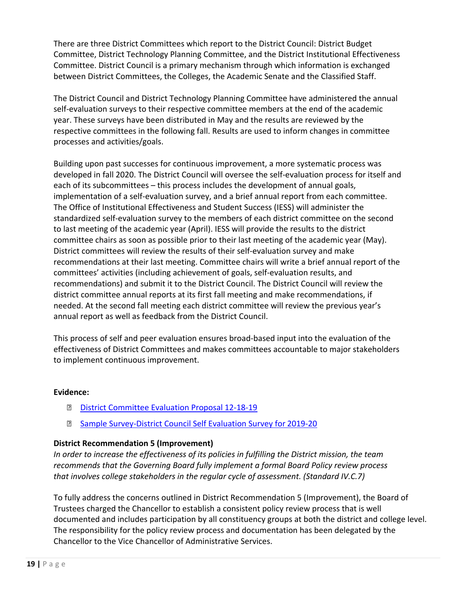There are three District Committees which report to the District Council: District Budget Committee, District Technology Planning Committee, and the District Institutional Effectiveness Committee. District Council is a primary mechanism through which information is exchanged between District Committees, the Colleges, the Academic Senate and the Classified Staff.

The District Council and District Technology Planning Committee have administered the annual self-evaluation surveys to their respective committee members at the end of the academic year. These surveys have been distributed in May and the results are reviewed by the respective committees in the following fall. Results are used to inform changes in committee processes and activities/goals.

Building upon past successes for continuous improvement, a more systematic process was developed in fall 2020. The District Council will oversee the self-evaluation process for itself and each of its subcommittees – this process includes the development of annual goals, implementation of a self-evaluation survey, and a brief annual report from each committee. The Office of Institutional Effectiveness and Student Success (IESS) will administer the standardized self-evaluation survey to the members of each district committee on the second to last meeting of the academic year (April). IESS will provide the results to the district committee chairs as soon as possible prior to their last meeting of the academic year (May). District committees will review the results of their self-evaluation survey and make recommendations at their last meeting. Committee chairs will write a brief annual report of the committees' activities (including achievement of goals, self-evaluation results, and recommendations) and submit it to the District Council. The District Council will review the district committee annual reports at its first fall meeting and make recommendations, if needed. At the second fall meeting each district committee will review the previous year's annual report as well as feedback from the District Council.

This process of self and peer evaluation ensures broad-based input into the evaluation of the effectiveness of District Committees and makes committees accountable to major stakeholders to implement continuous improvement.

#### **Evidence:**

- **[District Committee Evaluation Proposal](https://www.evc.edu/AcademicAffairs/Documents/District-Committees-Evaluation-Proposal-12-18-19.docx) 12-18-19**
- **B** [Sample Survey-District Council Self Evaluation Survey for](https://www.evc.edu/AcademicAffairs/Documents/Sample-Survey-District_Council_Self-Evaluation_Survey_for_2019-20.docx) 2019-20

## **District Recommendation 5 (Improvement)**

*In order to increase the effectiveness of its policies in fulfilling the District mission, the team recommends that the Governing Board fully implement a formal Board Policy review process that involves college stakeholders in the regular cycle of assessment. (Standard IV.C.7)*

To fully address the concerns outlined in District Recommendation 5 (Improvement), the Board of Trustees charged the Chancellor to establish a consistent policy review process that is well documented and includes participation by all constituency groups at both the district and college level. The responsibility for the policy review process and documentation has been delegated by the Chancellor to the Vice Chancellor of Administrative Services.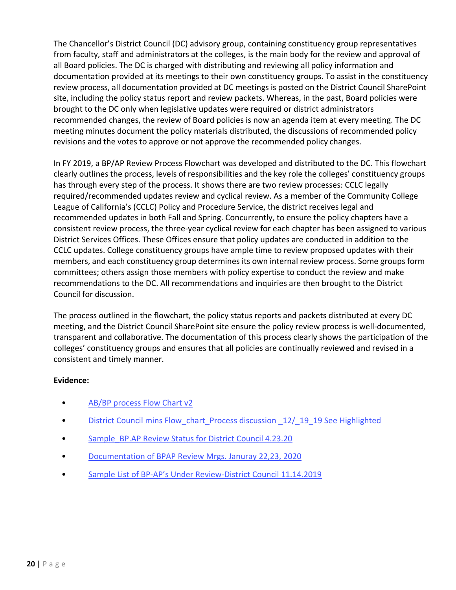The Chancellor's District Council (DC) advisory group, containing constituency group representatives from faculty, staff and administrators at the colleges, is the main body for the review and approval of all Board policies. The DC is charged with distributing and reviewing all policy information and documentation provided at its meetings to their own constituency groups. To assist in the constituency review process, all documentation provided at DC meetings is posted on the District Council SharePoint site, including the policy status report and review packets. Whereas, in the past, Board policies were brought to the DC only when legislative updates were required or district administrators recommended changes, the review of Board policies is now an agenda item at every meeting. The DC meeting minutes document the policy materials distributed, the discussions of recommended policy revisions and the votes to approve or not approve the recommended policy changes.

In FY 2019, a BP/AP Review Process Flowchart was developed and distributed to the DC. This flowchart clearly outlines the process, levels of responsibilities and the key role the colleges' constituency groups has through every step of the process. It shows there are two review processes: CCLC legally required/recommended updates review and cyclical review. As a member of the Community College League of California's (CCLC) Policy and Procedure Service, the district receives legal and recommended updates in both Fall and Spring. Concurrently, to ensure the policy chapters have a consistent review process, the three-year cyclical review for each chapter has been assigned to various District Services Offices. These Offices ensure that policy updates are conducted in addition to the CCLC updates. College constituency groups have ample time to review proposed updates with their members, and each constituency group determines its own internal review process. Some groups form committees; others assign those members with policy expertise to conduct the review and make recommendations to the DC. All recommendations and inquiries are then brought to the District Council for discussion.

The process outlined in the flowchart, the policy status reports and packets distributed at every DC meeting, and the District Council SharePoint site ensure the policy review process is well-documented, transparent and collaborative. The documentation of this process clearly shows the participation of the colleges' constituency groups and ensures that all policies are continually reviewed and revised in a consistent and timely manner.

## **Evidence:**

- [AB/BP process Flow Chart v2](https://www.evc.edu/AcademicAffairs/Documents/BP-AP-Review-Process-Flowchart.pdf)
- District Council mins Flow chart Process discussion  $12/19$  19 See Highlighted
- [Sample\\_BP.AP Review Status for District Council 4.23.20](https://www.evc.edu/AcademicAffairs/Documents/Sample_BP.AP-Review-Status-for-District-Council-4-23-20.pdf)
- [Documentation of BPAP Review Mrgs. Januray 22,23,](https://www.evc.edu/AcademicAffairs/Documents/Documentation-of-BPAP-Review-Mtgs-Jan22-23-2020.docx) 2020
- [Sample List of BP-AP's Under Review-District Council 11.14.2019](https://www.evc.edu/AcademicAffairs/Documents/Timeline-Sample-List-of-BP-APs-Under-Review-11.14.19.docx)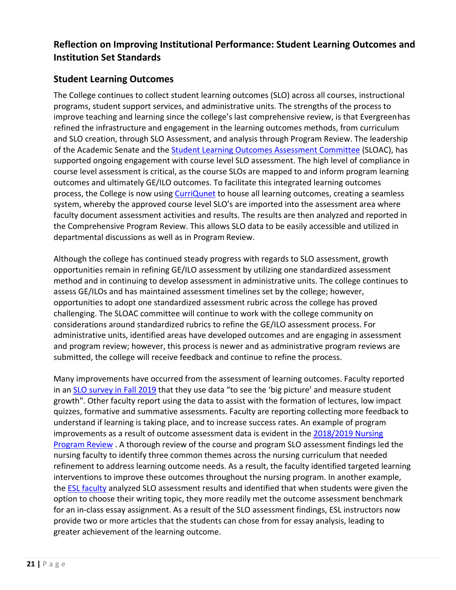# <span id="page-20-0"></span>**Reflection on Improving Institutional Performance: Student Learning Outcomes and Institution Set Standards**

# **Student Learning Outcomes**

The College continues to collect student learning outcomes (SLO) across all courses, instructional programs, student support services, and administrative units. The strengths of the process to improve teaching and learning since the college's last comprehensive review, is that Evergreenhas refined the infrastructure and engagement in the learning outcomes methods, from curriculum and SLO creation, through SLO Assessment, and analysis through Program Review. The leadership of the Academic Senate and the [Student Learning Outcomes Assessment Committee](https://www.evc.edu/AcademicAffairs/Documents/SLOAC-AS-18-19_minutes-SLO.pdf) (SLOAC), has supported ongoing engagement with course level SLO assessment. The high level of compliance in course level assessment is critical, as the course SLOs are mapped to and inform program learning outcomes and ultimately GE/ILO outcomes. To facilitate this integrated learning outcomes process, the College is now using [CurriQunet](https://www.evc.edu/AcademicAffairs/Documents/CurrIQunet-AJ.-SLO-Assessment-Sample.docx) to house all learning outcomes, creating a seamless system, whereby the approved course level SLO's are imported into the assessment area where faculty document assessment activities and results. The results are then analyzed and reported in the Comprehensive Program Review. This allows SLO data to be easily accessible and utilized in departmental discussions as well as in Program Review.

Although the college has continued steady progress with regards to SLO assessment, growth opportunities remain in refining GE/ILO assessment by utilizing one standardized assessment method and in continuing to develop assessment in administrative units. The college continues to assess GE/ILOs and has maintained assessment timelines set by the college; however, opportunities to adopt one standardized assessment rubric across the college has proved challenging. The SLOAC committee will continue to work with the college community on considerations around standardized rubrics to refine the GE/ILO assessment process. For administrative units, identified areas have developed outcomes and are engaging in assessment and program review; however, this process is newer and as administrative program reviews are submitted, the college will receive feedback and continue to refine the process.

Many improvements have occurred from the assessment of learning outcomes. Faculty reported in an [SLO survey in Fall 2019](https://www.evc.edu/AcademicAffairs/Documents/SLO-Survey_Nov25-2019.xlsx) that they use data "to see the 'big picture' and measure student growth". Other faculty report using the data to assist with the formation of lectures, low impact quizzes, formative and summative assessments. Faculty are reporting collecting more feedback to understand if learning is taking place, and to increase success rates. An example of program improvements as a result of outcome assessment data is evident in the [2018/2019 Nursing](https://www.evc.edu/AcademicAffairs/Documents/18-19_Nursing-PR-pages27-28.pdf) [Program Review](https://www.evc.edu/AcademicAffairs/Documents/18-19_Nursing-PR-pages27-28.pdf) . A thorough review of the course and program SLO assessment findings led the nursing faculty to identify three common themes across the nursing curriculum that needed refinement to address learning outcome needs. As a result, the faculty identified targeted learning interventions to improve these outcomes throughout the nursing program. In another example, the [ESL faculty](https://www.evc.edu/AcademicAffairs/Documents/ESL-faculty-PR.pdf) analyzed SLO assessment results and identified that when students were given the option to choose their writing topic, they more readily met the outcome assessment benchmark for an in-class essay assignment. As a result of the SLO assessment findings, ESL instructors now provide two or more articles that the students can chose from for essay analysis, leading to greater achievement of the learning outcome.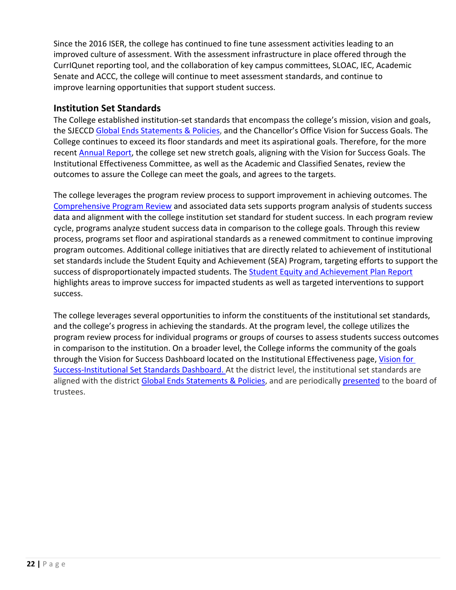Since the 2016 ISER, the college has continued to fine tune assessment activities leading to an improved culture of assessment. With the assessment infrastructure in place offered through the CurrIQunet reporting tool, and the collaboration of key campus committees, SLOAC, IEC, Academic Senate and ACCC, the college will continue to meet assessment standards, and continue to improve learning opportunities that support student success.

## **Institution Set Standards**

The College established institution-set standards that encompass the college's mission, vision and goals, the SJECCD Global Ends [Statements](https://www.evc.edu/AcademicAffairs/Documents/Ends_Statement_and_Ends_Policies.pdf) & Policies, and the Chancellor's Office Vision for Success Goals. The College continues to exceed its floor standards and meet its aspirational goals. Therefore, for the more recent [Annual Report, t](https://www.evc.edu/AcademicAffairs/Documents/ACCJC-2020-Annual-Report.pdf)he college set new stretch goals, aligning with the Vision for Success Goals. The Institutional Effectiveness Committee, as well as the Academic and Classified Senates, review the outcomes to assure the College can meet the goals, and agrees to the targets.

The college leverages the program review process to support improvement in achieving outcomes. The [Comprehensive Program Review](https://www.evc.edu/AcademicAffairs/Documents/Comprehensive-Program-Review-template-for-19-20-page3.pdf) and associated data sets supports program analysis of students success data and alignment with the college institution set standard for student success. In each program review cycle, programs analyze student success data in comparison to the college goals. Through this review process, programs set floor and aspirational standards as a renewed commitment to continue improving program outcomes. Additional college initiatives that are directly related to achievement of institutional set standards include the Student Equity and Achievement (SEA) Program, targeting efforts to support the success of disproportionately impacted students. The Student Equity [and Achievement Plan Report](http://www.evc.edu/AcademicAffairs/Documents/EVC_Student%20Equity%20Presentation%2006.06.pdf) highlights areas to improve success for impacted students as well as targeted interventions to support success.

The college leverages several opportunities to inform the constituents of the institutional set standards, and the college's progress in achieving the standards. At the program level, the college utilizes the program review process for individual programs or groups of courses to assess students success outcomes in comparison to the institution. On a broader level, the College informs the community of the goals through the Vision for Success Dashboard located on the Institutional Effectiveness page, [Vision for](https://app.powerbi.com/view?r=eyJrIjoiMmE0MzczOGEtOTA5MC00MzViLWIxYmYtODIxNjIxODYyMmNkIiwidCI6IjdjYzhlMzU3LTQ2OGQtNDcyYy1hNmZjLWM1NjAwZTc4OWI1NSIsImMiOjZ9)  [Success-Institutional Set Standards Dashboard.](https://app.powerbi.com/view?r=eyJrIjoiMmE0MzczOGEtOTA5MC00MzViLWIxYmYtODIxNjIxODYyMmNkIiwidCI6IjdjYzhlMzU3LTQ2OGQtNDcyYy1hNmZjLWM1NjAwZTc4OWI1NSIsImMiOjZ9) At the district level, the institutional set standards are aligned with the district Global Ends [Statements](https://www.evc.edu/AcademicAffairs/Documents/Ends_Statement_and_Ends_Policies.pdf) & Policies, and are periodically [presented](https://www.sjeccd.edu/Chancellor/Documents/IESS_Student_Success_Report_First%20Monitoring_Report_Final_5.14.19.pdf) to the board of trustees.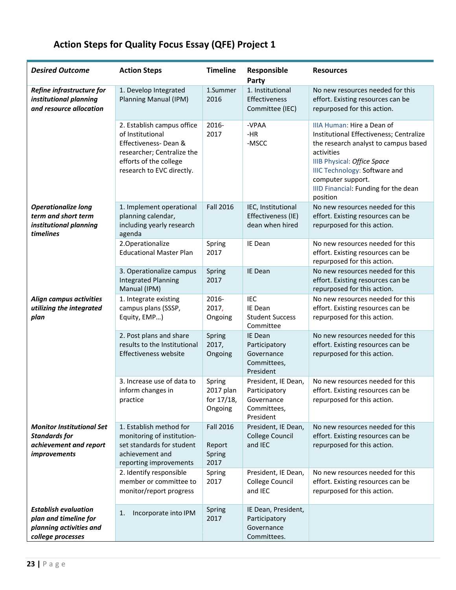# **Action Steps for Quality Focus Essay (QFE) Project 1**

<span id="page-22-0"></span>

| <b>Desired Outcome</b>                                                                               | <b>Action Steps</b>                                                                                                                                         | <b>Timeline</b>                              | Responsible<br>Party                                                           | <b>Resources</b>                                                                                                                                                                                                                                                            |
|------------------------------------------------------------------------------------------------------|-------------------------------------------------------------------------------------------------------------------------------------------------------------|----------------------------------------------|--------------------------------------------------------------------------------|-----------------------------------------------------------------------------------------------------------------------------------------------------------------------------------------------------------------------------------------------------------------------------|
| Refine infrastructure for<br>institutional planning<br>and resource allocation                       | 1. Develop Integrated<br>Planning Manual (IPM)                                                                                                              | 1.Summer<br>2016                             | 1. Institutional<br>Effectiveness<br>Committee (IEC)                           | No new resources needed for this<br>effort. Existing resources can be<br>repurposed for this action.                                                                                                                                                                        |
|                                                                                                      | 2. Establish campus office<br>of Institutional<br>Effectiveness-Dean &<br>researcher; Centralize the<br>efforts of the college<br>research to EVC directly. | 2016-<br>2017                                | -VPAA<br>$-HR$<br>-MSCC                                                        | IIIA Human: Hire a Dean of<br>Institutional Effectiveness; Centralize<br>the research analyst to campus based<br>activities<br>IIIB Physical: Office Space<br><b>IIIC Technology: Software and</b><br>computer support.<br>IIID Financial: Funding for the dean<br>position |
| <b>Operationalize long</b><br>term and short term<br>institutional planning<br>timelines             | 1. Implement operational<br>planning calendar,<br>including yearly research<br>agenda                                                                       | <b>Fall 2016</b>                             | IEC, Institutional<br>Effectiveness (IE)<br>dean when hired                    | No new resources needed for this<br>effort. Existing resources can be<br>repurposed for this action.                                                                                                                                                                        |
|                                                                                                      | 2.Operationalize<br><b>Educational Master Plan</b>                                                                                                          | Spring<br>2017                               | IE Dean                                                                        | No new resources needed for this<br>effort. Existing resources can be<br>repurposed for this action.                                                                                                                                                                        |
|                                                                                                      | 3. Operationalize campus<br><b>Integrated Planning</b><br>Manual (IPM)                                                                                      | Spring<br>2017                               | IE Dean                                                                        | No new resources needed for this<br>effort. Existing resources can be<br>repurposed for this action.                                                                                                                                                                        |
| Align campus activities<br>utilizing the integrated<br>plan                                          | 1. Integrate existing<br>campus plans (SSSP,<br>Equity, EMP)                                                                                                | 2016-<br>2017,<br>Ongoing                    | <b>IEC</b><br>IE Dean<br><b>Student Success</b><br>Committee                   | No new resources needed for this<br>effort. Existing resources can be<br>repurposed for this action.                                                                                                                                                                        |
|                                                                                                      | 2. Post plans and share<br>results to the Institutional<br>Effectiveness website                                                                            | Spring<br>2017,<br>Ongoing                   | IE Dean<br>Participatory<br>Governance<br>Committees,<br>President             | No new resources needed for this<br>effort. Existing resources can be<br>repurposed for this action.                                                                                                                                                                        |
|                                                                                                      | 3. Increase use of data to<br>inform changes in<br>practice                                                                                                 | Spring<br>2017 plan<br>for 17/18,<br>Ongoing | President, IE Dean,<br>Participatory<br>Governance<br>Committees,<br>President | No new resources needed for this<br>effort. Existing resources can be<br>repurposed for this action.                                                                                                                                                                        |
| <b>Monitor Institutional Set</b><br><b>Standards for</b><br>achievement and report<br>improvements   | 1. Establish method for<br>monitoring of institution-<br>set standards for student<br>achievement and<br>reporting improvements                             | <b>Fall 2016</b><br>Report<br>Spring<br>2017 | President, IE Dean,<br><b>College Council</b><br>and IEC                       | No new resources needed for this<br>effort. Existing resources can be<br>repurposed for this action.                                                                                                                                                                        |
|                                                                                                      | 2. Identify responsible<br>member or committee to<br>monitor/report progress                                                                                | Spring<br>2017                               | President, IE Dean,<br>College Council<br>and IEC                              | No new resources needed for this<br>effort. Existing resources can be<br>repurposed for this action.                                                                                                                                                                        |
| <b>Establish evaluation</b><br>plan and timeline for<br>planning activities and<br>college processes | Incorporate into IPM<br>1.                                                                                                                                  | Spring<br>2017                               | IE Dean, President,<br>Participatory<br>Governance<br>Committees.              |                                                                                                                                                                                                                                                                             |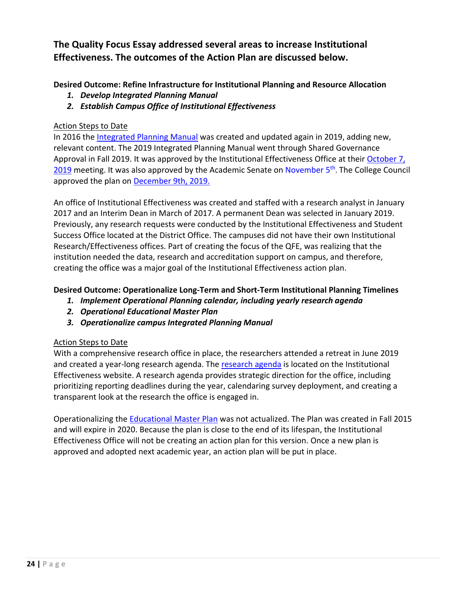# **The Quality Focus Essay addressed several areas to increase Institutional Effectiveness. The outcomes of the Action Plan are discussed below.**

**Desired Outcome: Refine Infrastructure for Institutional Planning and Resource Allocation**

- *1. Develop Integrated Planning Manual*
- *2. Establish Campus Office of Institutional Effectiveness*

### Action Steps to Date

In 2016 the [Integrated Planning Manual](https://www.evc.edu/AcademicAffairs/Documents/EVCIntegratedPlanningManual-2019.pdf) was created and updated again in 2019, adding new, relevant content. The 2019 Integrated Planning Manual went through Shared Governance Approval in Fall 2019. It was approved by the Institutional Effectiveness Office at their [October 7,](https://www.evc.edu/AcademicAffairs/Documents/Oct7_2019-IEC_Minutes-IPM.pdf) [2019](https://www.evc.edu/AcademicAffairs/Documents/Oct7_2019-IEC_Minutes-IPM.pdf) meeting. It was also approved by the Academic Senate on November  $5<sup>th</sup>$ . The College Council approved the plan on [December 9th, 2019.](https://www.evc.edu/AcademicAffairs/Documents/Dec-9th-2019_college-council-minutes.pdf)

An office of Institutional Effectiveness was created and staffed with a research analyst in January 2017 and an Interim Dean in March of 2017. A permanent Dean was selected in January 2019. Previously, any research requests were conducted by the Institutional Effectiveness and Student Success Office located at the District Office. The campuses did not have their own Institutional Research/Effectiveness offices. Part of creating the focus of the QFE, was realizing that the institution needed the data, research and accreditation support on campus, and therefore, creating the office was a major goal of the Institutional Effectiveness action plan.

## **Desired Outcome: Operationalize Long-Term and Short-Term Institutional Planning Timelines**

- *1. Implement Operational Planning calendar, including yearly research agenda*
- *2. Operational Educational Master Plan*
- *3. Operationalize campus Integrated Planning Manual*

## Action Steps to Date

With a comprehensive research office in place, the researchers attended a retreat in June 2019 and created a year-long [research agenda](https://www.evc.edu/AcademicAffairs/Documents/Research%20Agenda.pdf). The research agenda is located on the Institutional Effectiveness website. A research agenda provides strategic direction for the office, including prioritizing reporting deadlines during the year, calendaring survey deployment, and creating a transparent look at the research the office is engaged in.

Operationalizing the [Educational Master Plan](http://www.evc.edu/President/Documents/Educational-Master-Plan.pdf) was not actualized. The Plan was created in Fall 2015 and will expire in 2020. Because the plan is close to the end of its lifespan, the Institutional Effectiveness Office will not be creating an action plan for this version. Once a new plan is approved and adopted next academic year, an action plan will be put in place.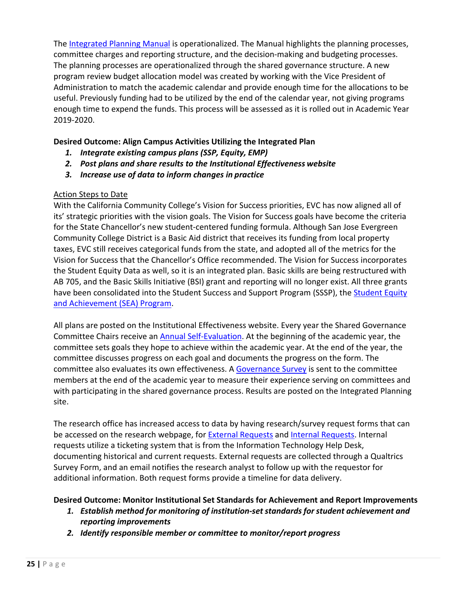The [Integrated Planning Manual](https://www.evc.edu/AcademicAffairs/Documents/EVCIntegratedPlanningManual-2019.pdf) is operationalized. The Manual highlights the planning processes, committee charges and reporting structure, and the decision-making and budgeting processes. The planning processes are operationalized through the shared governance structure. A new program review budget allocation model was created by working with the Vice President of Administration to match the academic calendar and provide enough time for the allocations to be useful. Previously funding had to be utilized by the end of the calendar year, not giving programs enough time to expend the funds. This process will be assessed as it is rolled out in Academic Year 2019-2020.

## **Desired Outcome: Align Campus Activities Utilizing the Integrated Plan**

- *1. Integrate existing campus plans (SSP, Equity, EMP)*
- *2. Post plans and share results to the Institutional Effectiveness website*
- *3. Increase use of data to inform changes in practice*

## Action Steps to Date

With the California Community College's Vision for Success priorities, EVC has now aligned all of its' strategic priorities with the vision goals. The Vision for Success goals have become the criteria for the State Chancellor's new student-centered funding formula. Although San Jose Evergreen Community College District is a Basic Aid district that receives its funding from local property taxes, EVC still receives categorical funds from the state, and adopted all of the metrics for the Vision for Success that the Chancellor's Office recommended. The Vision for Success incorporates the Student Equity Data as well, so it is an integrated plan. Basic skills are being restructured with AB 705, and the Basic Skills Initiative (BSI) grant and reporting will no longer exist. All three grants have been consolidated into the Student Success and Support Program (SSSP), the [Student Equity](http://www.evc.edu/AcademicAffairs/Documents/Executive-Summary-Integrated-Plan-2017-19.pdf) [and Achievement \(SEA\) Program.](http://www.evc.edu/AcademicAffairs/Documents/Executive-Summary-Integrated-Plan-2017-19.pdf)

All plans are posted on the Institutional Effectiveness website. Every year the Shared Governance Committee Chairs receive an **Annual Self-Evaluation**. At the beginning of the academic year, the committee sets goals they hope to achieve within the academic year. At the end of the year, the committee discusses progress on each goal and documents the progress on the form. The committee also evaluates its own effectiveness. A [Governance Survey](https://www.evc.edu/AcademicAffairs/Documents/Governance_Survey.pdf) is sent to the committee [members at the end o](https://www.evc.edu/AcademicAffairs/Documents/Governance_Survey.pdf)f the academic year to measure their experience serving on committees and with participating in the shared governance process. Results are posted on the Integrated Planning site.

The research office has increased access to data by having research/survey request forms that can be accessed on the research webpage, for [External Requests](https://sjeccd.qualtrics.com/jfe/form/SV_6hxVx9ysxkg5CXr) and [Internal Requests. I](https://services.sjeccd.edu/TDClient/1862/Portal/Requests/ServiceDet?ID=36935)nternal requests utilize a ticketing system that is from the Information Technology Help Desk, documenting historical and current requests. External requests are collected through a Qualtrics Survey Form, and an email notifies the research analyst to follow up with the requestor for additional information. Both request forms provide a timeline for data delivery.

## **Desired Outcome: Monitor Institutional Set Standards for Achievement and Report Improvements**

- *1. Establish method for monitoring of institution-set standards for student achievement and reporting improvements*
- *2. Identify responsible member or committee to monitor/report progress*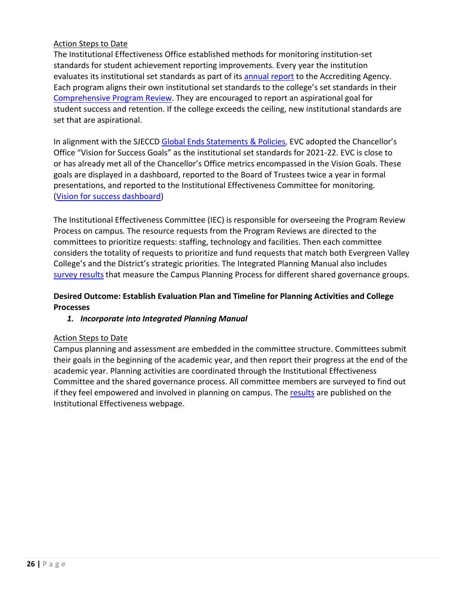### Action Steps to Date

The Institutional Effectiveness Office established methods for monitoring institution-set standards for student achievement reporting improvements. Every year the institution evaluates its institutional set standards as part of its [annual report](https://www.evc.edu/AcademicAffairs/Documents/ACCJC-2020-Annual-Report.pdf) to the Accrediting Agency. Each program aligns their own institutional set standards to the college's set standards in their [Comprehensive Program Review.](https://www.evc.edu/AcademicAffairs/Documents/Comprehensive-Program-Review-template-for-19-20-page3.pdf) They are encouraged to report an aspirational goal for student success and retention. If the college exceeds the ceiling, new institutional standards are set that are aspirational.

In alignment with the SJECCD Global Ends [Statements](https://www.evc.edu/AcademicAffairs/Documents/Ends_Statement_and_Ends_Policies.pdf) & Policies, EVC adopted the Chancellor's Office "Vision for Success Goals" as the institutional set standards for 2021-22. EVC is close to or has already met all of the Chancellor's Office metrics encompassed in the Vision Goals. These goals are displayed in a dashboard, reported to the Board of Trustees twice a year in formal presentations, and reported to the Institutional Effectiveness Committee for monitoring. [\(Vision for success dashboard\)](https://app.powerbi.com/view?r=eyJrIjoiMmE0MzczOGEtOTA5MC00MzViLWIxYmYtODIxNjIxODYyMmNkIiwidCI6IjdjYzhlMzU3LTQ2OGQtNDcyYy1hNmZjLWM1NjAwZTc4OWI1NSIsImMiOjZ9)

The Institutional Effectiveness Committee (IEC) is responsible for overseeing the Program Review Process on campus. The resource requests from the Program Reviews are directed to the committees to prioritize requests: staffing, technology and facilities. Then each committee considers the totality of requests to prioritize and fund requests that match both Evergreen Valley College's and the District's strategic priorities. The Integrated Planning Manual also includes [survey results](http://www.evc.edu/AcademicAffairs/Documents/Survey%20Results-Participatory%20Governance.pdf) that measure the Campus Planning Process for different shared governance groups.

## **Desired Outcome: Establish Evaluation Plan and Timeline for Planning Activities and College Processes**

## *1. Incorporate into Integrated Planning Manual*

#### Action Steps to Date

Campus planning and assessment are embedded in the committee structure. Committees submit their goals in the beginning of the academic year, and then report their progress at the end of the academic year. Planning activities are coordinated through the Institutional Effectiveness Committee and the shared governance process. All committee members are surveyed to find out if they feel empowered and involved in planning on campus. The [results](http://www.evc.edu/AcademicAffairs/Documents/Survey%20Results-Participatory%20Governance.pdf) are published on the Institutional Effectiveness webpage.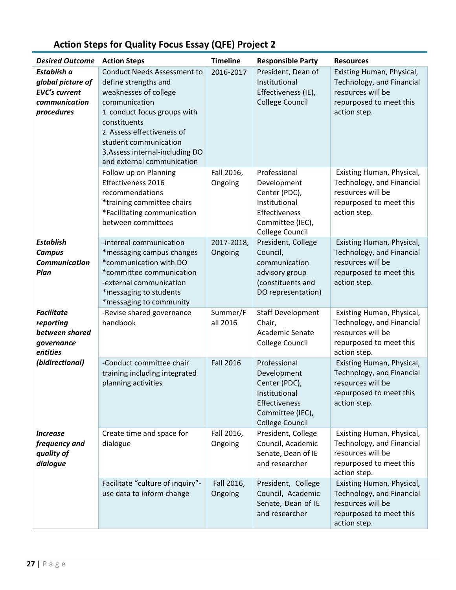<span id="page-26-0"></span>

| <b>Desired Outcome</b>                                                                  | <b>Action Steps</b>                                                                                                                                                                                                                            | <b>Timeline</b>       | <b>Responsible Party</b>                                                                                                     | <b>Resources</b>                                                                                                       |
|-----------------------------------------------------------------------------------------|------------------------------------------------------------------------------------------------------------------------------------------------------------------------------------------------------------------------------------------------|-----------------------|------------------------------------------------------------------------------------------------------------------------------|------------------------------------------------------------------------------------------------------------------------|
| Establish a<br>global picture of<br><b>EVC's current</b><br>communication<br>procedures | <b>Conduct Needs Assessment to</b><br>define strengths and<br>weaknesses of college<br>communication<br>1. conduct focus groups with<br>constituents<br>2. Assess effectiveness of<br>student communication<br>3. Assess internal-including DO | 2016-2017             | President, Dean of<br>Institutional<br>Effectiveness (IE),<br><b>College Council</b>                                         | Existing Human, Physical,<br>Technology, and Financial<br>resources will be<br>repurposed to meet this<br>action step. |
|                                                                                         | and external communication<br>Follow up on Planning<br>Effectiveness 2016<br>recommendations<br>*training committee chairs<br>*Facilitating communication<br>between committees                                                                | Fall 2016,<br>Ongoing | Professional<br>Development<br>Center (PDC),<br>Institutional<br>Effectiveness<br>Committee (IEC),<br><b>College Council</b> | Existing Human, Physical,<br>Technology, and Financial<br>resources will be<br>repurposed to meet this<br>action step. |
| <b>Establish</b><br><b>Campus</b><br><b>Communication</b><br>Plan                       | -internal communication<br>*messaging campus changes<br>*communication with DO<br>*committee communication<br>-external communication<br>*messaging to students<br>*messaging to community                                                     | 2017-2018,<br>Ongoing | President, College<br>Council,<br>communication<br>advisory group<br>(constituents and<br>DO representation)                 | Existing Human, Physical,<br>Technology, and Financial<br>resources will be<br>repurposed to meet this<br>action step. |
| <b>Facilitate</b><br>reporting<br>between shared<br>governance<br>entities              | -Revise shared governance<br>handbook                                                                                                                                                                                                          | Summer/F<br>all 2016  | <b>Staff Development</b><br>Chair,<br>Academic Senate<br><b>College Council</b>                                              | Existing Human, Physical,<br>Technology, and Financial<br>resources will be<br>repurposed to meet this<br>action step. |
| (bidirectional)                                                                         | -Conduct committee chair<br>training including integrated<br>planning activities                                                                                                                                                               | <b>Fall 2016</b>      | Professional<br>Development<br>Center (PDC),<br>Institutional<br>Effectiveness<br>Committee (IEC),<br><b>College Council</b> | Existing Human, Physical,<br>Technology, and Financial<br>resources will be<br>repurposed to meet this<br>action step. |
| <i><u><b>Increase</b></u></i><br>frequency and<br>quality of<br>dialogue                | Create time and space for<br>dialogue                                                                                                                                                                                                          | Fall 2016,<br>Ongoing | President, College<br>Council, Academic<br>Senate, Dean of IE<br>and researcher                                              | Existing Human, Physical,<br>Technology, and Financial<br>resources will be<br>repurposed to meet this<br>action step. |
|                                                                                         | Facilitate "culture of inquiry"-<br>use data to inform change                                                                                                                                                                                  | Fall 2016,<br>Ongoing | President, College<br>Council, Academic<br>Senate, Dean of IE<br>and researcher                                              | Existing Human, Physical,<br>Technology, and Financial<br>resources will be<br>repurposed to meet this<br>action step. |

# **Action Steps for Quality Focus Essay (QFE) Project 2**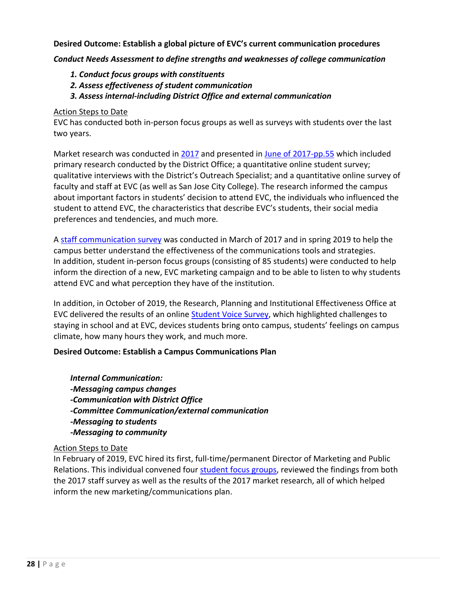**Desired Outcome: Establish a global picture of EVC's current communication procedures**

*Conduct Needs Assessment to define strengths and weaknesses of college communication*

- *1. Conduct focus groups with constituents*
- *2. Assess effectiveness of student communication*
- *3. Assess internal-including District Office and external communication*

#### Action Steps to Date

EVC has conducted both in-person focus groups as well as surveys with students over the last two years.

Market research was conducted in [2017](https://www.evc.edu/AcademicAffairs/Documents/june-2017-market-research.pdf) and presented in [June of 2017-pp.55](https://www.evc.edu/AcademicAffairs/Documents/june-2017-market-research-pg55.pdf) which included primary research conducted by the District Office; a quantitative online student survey; qualitative interviews with the District's Outreach Specialist; and a quantitative online survey of faculty and staff at EVC (as well as San Jose City College). The research informed the campus about important factors in students' decision to attend EVC, the individuals who influenced the student to attend EVC, the characteristics that describe EVC's students, their social media preferences and tendencies, and much more*.*

A [staff communication survey](https://www.evc.edu/AcademicAffairs/Documents/Staff-Communication-Survey-Highlights.pptx) was conducted in March of 2017 and in spring 2019 to help the campus better understand the effectiveness of the communications tools and strategies. In addition, student in-person focus groups (consisting of 85 students) were conducted to help inform the direction of a new, EVC marketing campaign and to be able to listen to why students attend EVC and what perception they have of the institution.

In addition, in October of 2019, the Research, Planning and Institutional Effectiveness Office at EVC delivered the results of an online [Student Voice Survey, w](https://www.evc.edu/AcademicAffairs/Documents/Student-Voice-Survey-Presentation_Final.pdf)hich highlighted challenges to staying in school and at EVC, devices students bring onto campus, students' feelings on campus climate, how many hours they work, and much more.

## **Desired Outcome: Establish a Campus Communications Plan**

*Internal Communication: -Messaging campus changes -Communication with District Office -Committee Communication/external communication -Messaging to students -Messaging to community*

## Action Steps to Date

In February of 2019, EVC hired its first, full-time/permanent Director of Marketing and Public Relations. This individual convened four [student focus groups,](https://www.evc.edu/AcademicAffairs/Documents/student-focus-groups.pdf) reviewed the findings from both the 2017 staff survey as well as the results of the 2017 market research, all of which helped inform the new marketing/communications plan.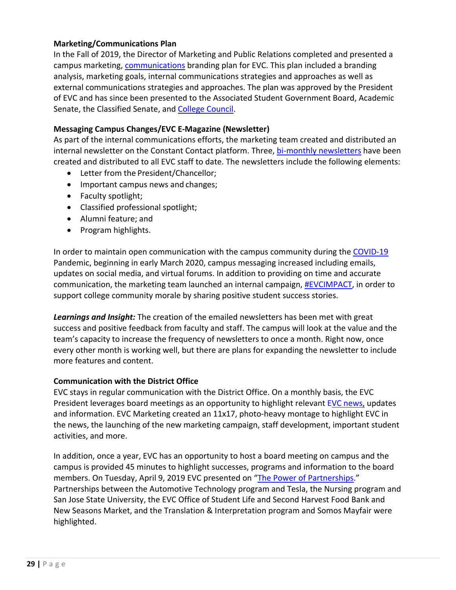### **Marketing/Communications Plan**

In the Fall of 2019, the Director of Marketing and Public Relations completed and presented a campus marketing, [communications](https://www.evc.edu/AcademicAffairs/Documents/communications_MarketingPlan_FY19-20.pdf) branding plan for EVC. This plan included a branding analysis, marketing goals, internal communications strategies and approaches as well as external communications strategies and approaches. The plan was approved by the President of EVC and has since been presented to the Associated Student Government Board, Academic Senate, the Classified Senate, and [College Council.](https://www.evc.edu/AcademicAffairs/Documents/2019_11_25-College-Council-Minutes-Plan.pdf)

### **Messaging Campus Changes/EVC E-Magazine (Newsletter)**

As part of the internal communications efforts, the marketing team created and distributed an internal newsletter on the Constant Contact platform. Three[, bi-monthly newsletters](https://www.evc.edu/AcademicAffairs/Documents/bi-monthly-newsletters.pdf) have been created and distributed to all EVC staff to date. The newsletters include the following elements:

- Letter from the President/Chancellor;
- Important campus news and changes;
- Faculty spotlight;
- Classified professional spotlight;
- Alumni feature; and
- Program highlights.

In order to maintain open communication with the campus community during the [COVID-19](https://www.evc.edu/AcademicAffairs/Documents/COVID-19-SummaryCommunication.pdf) Pandemic, beginning in early March 2020, campus messaging increased including emails, updates on social media, and virtual forums. In addition to providing on time and accurate communication, the marketing team launched an internal campaign, [#EVCIMPACT, i](https://www.evc.edu/AcademicAffairs/Documents/EVCImpact.pdf)n order to support college community morale by sharing positive student success stories.

*Learnings and Insight:* The creation of the emailed newsletters has been met with great success and positive feedback from faculty and staff. The campus will look at the value and the team's capacity to increase the frequency of newsletters to once a month. Right now, once every other month is working well, but there are plans for expanding the newsletter to include more features and content.

#### **Communication with the District Office**

EVC stays in regular communication with the District Office. On a monthly basis, the EVC President leverages board meetings as an opportunity to highlight relevant [EVC news,](https://www.evc.edu/AcademicAffairs/Documents/EVC-News.pdf) updates and information. EVC Marketing created an 11x17, photo-heavy montage to highlight EVC in the news, the launching of the new marketing campaign, staff development, important student activities, and more.

In addition, once a year, EVC has an opportunity to host a board meeting on campus and the campus is provided 45 minutes to highlight successes, programs and information to the board members. On Tuesday, April 9, 2019 EVC presented on ["The Power of Partnerships.](https://www.evc.edu/AcademicAffairs/Documents/EVC_BoardPres.pdf)" Partnerships between the Automotive Technology program and Tesla, the Nursing program and San Jose State University, the EVC Office of Student Life and Second Harvest Food Bank and New Seasons Market, and the Translation & Interpretation program and Somos Mayfair were highlighted.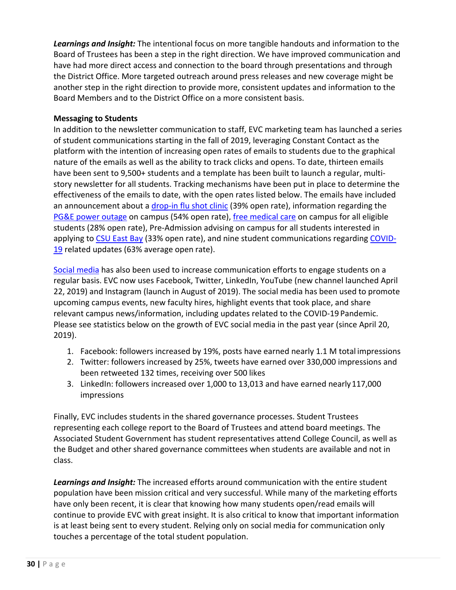*Learnings and Insight:* The intentional focus on more tangible handouts and information to the Board of Trustees has been a step in the right direction. We have improved communication and have had more direct access and connection to the board through presentations and through the District Office. More targeted outreach around press releases and new coverage might be another step in the right direction to provide more, consistent updates and information to the Board Members and to the District Office on a more consistent basis.

### **Messaging to Students**

In addition to the newsletter communication to staff, EVC marketing team has launched a series of student communications starting in the fall of 2019, leveraging Constant Contact as the platform with the intention of increasing open rates of emails to students due to the graphical nature of the emails as well as the ability to track clicks and opens. To date, thirteen emails have been sent to 9,500+ students and a template has been built to launch a regular, multistory newsletter for all students. Tracking mechanisms have been put in place to determine the effectiveness of the emails to date, with the open rates listed below. The emails have included an announcement about a [drop-in flu shot clinic](https://www.evc.edu/AcademicAffairs/Documents/Drop-In%20Flu-Shots-Clinic.pdf) (39% open rate), information regarding the [PG&E power outage](https://www.evc.edu/AcademicAffairs/Documents/PGE-Power-Outage-Email-to-All-Students.pdf) on campus (54% open rate), [free medical care](https://www.evc.edu/AcademicAffairs/Documents/free-medical-care-Stanford-Medical-Van-Final.pdf) on campus for all eligible students (28% open rate), Pre-Admission advising on campus for all students interested in applying to [CSU East Bay](https://www.evc.edu/AcademicAffairs/Documents/CSU-East-Bay.pdf) (33% open rate), and nine student communications regarding [COVID-](https://www.evc.edu/AcademicAffairs/Documents/COVID-19.pdf)[19](https://www.evc.edu/AcademicAffairs/Documents/COVID-19.pdf) related updates (63% average open rate).

[Social media](https://www.evc.edu/AcademicAffairs/Documents/social-media.pdf) has also been used to increase communication efforts to engage students on a regular basis. EVC now uses Facebook, Twitter, LinkedIn, YouTube (new channel launched April 22, 2019) and Instagram (launch in August of 2019). The social media has been used to promote upcoming campus events, new faculty hires, highlight events that took place, and share relevant campus news/information, including updates related to the COVID-19 Pandemic. Please see statistics below on the growth of EVC social media in the past year (since April 20, 2019).

- 1. Facebook: followers increased by 19%, posts have earned nearly 1.1 M total impressions
- 2. Twitter: followers increased by 25%, tweets have earned over 330,000 impressions and been retweeted 132 times, receiving over 500 likes
- 3. LinkedIn: followers increased over 1,000 to 13,013 and have earned nearly117,000 impressions

Finally, EVC includes students in the shared governance processes. Student Trustees representing each college report to the Board of Trustees and attend board meetings. The Associated Student Government has student representatives attend College Council, as well as the Budget and other shared governance committees when students are available and not in class.

*Learnings and Insight:* The increased efforts around communication with the entire student population have been mission critical and very successful. While many of the marketing efforts have only been recent, it is clear that knowing how many students open/read emails will continue to provide EVC with great insight. It is also critical to know that important information is at least being sent to every student. Relying only on social media for communication only touches a percentage of the total student population.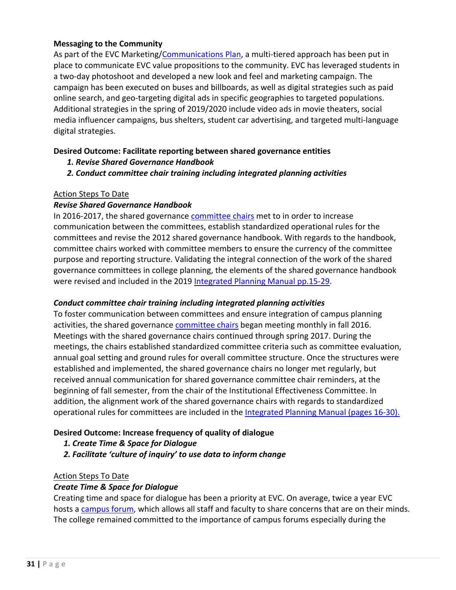## **Messaging to the Community**

As part of the EVC Marketing[/Communications Plan,](https://www.evc.edu/AcademicAffairs/Documents/communications_MarketingPlan_FY19-20.pdf) a multi-tiered approach has been put in place to communicate EVC value propositions to the community. EVC has leveraged students in a two-day photoshoot and developed a new look and feel and marketing campaign. The campaign has been executed on buses and billboards, as well as digital strategies such as paid online search, and geo-targeting digital ads in specific geographies to targeted populations. Additional strategies in the spring of 2019/2020 include video ads in movie theaters, social media influencer campaigns, bus shelters, student car advertising, and targeted multi-language digital strategies.

#### **Desired Outcome: Facilitate reporting between shared governance entities**

- *1. Revise Shared Governance Handbook*
- *2. Conduct committee chair training including integrated planning activities*

#### Action Steps To Date

#### *Revise Shared Governance Handbook*

In 2016-2017, the shared governance [committee chairs](https://www.evc.edu/AcademicAffairs/Documents/SG-Chair-Meeting-Communication.pdf) met to in order to increase communication between the committees, establish standardized operational rules for the committees and revise the 2012 shared governance handbook. With regards to the handbook, committee chairs worked with committee members to ensure the currency of the committee purpose and reporting structure. Validating the integral connection of the work of the shared governance committees in college planning, the elements of the shared governance handbook were revised and included in the 2019 [Integrated Planning Manual pp.15-29.](https://www.evc.edu/AcademicAffairs/Documents/IPM_manual-pages-15-29.pdf)

#### *Conduct committee chair training including integrated planning activities*

To foster communication between committees and ensure integration of campus planning activities, the shared governance [committee chairs](https://www.evc.edu/AcademicAffairs/Documents/SG-Chair-Meeting-Communication.pdf) began meeting monthly in fall 2016. Meetings with the shared governance chairs continued through spring 2017. During the meetings, the chairs established standardized committee criteria such as committee evaluation, annual goal setting and ground rules for overall committee structure. Once the structures were established and implemented, the shared governance chairs no longer met regularly, but received annual communication for shared governance committee chair reminders, at the beginning of fall semester, from the chair of the Institutional Effectiveness Committee. In addition, the alignment work of the shared governance chairs with regards to standardized operational rules for committees are included in the [Integrated Planning Manual \(pages 16-30\).](https://www.evc.edu/AcademicAffairs/Documents/SG.pdf)

## **Desired Outcome: Increase frequency of quality of dialogue**

- *1. Create Time & Space for Dialogue*
- *2. Facilitate 'culture of inquiry' to use data to inform change*

#### Action Steps To Date

## *Create Time & Space for Dialogue*

Creating time and space for dialogue has been a priority at EVC. On average, twice a year EVC hosts a [campus forum, w](https://www.evc.edu/AcademicAffairs/Documents/campus-forum.pdf)hich allows all staff and faculty to share concerns that are on their minds. The college remained committed to the importance of campus forums especially during the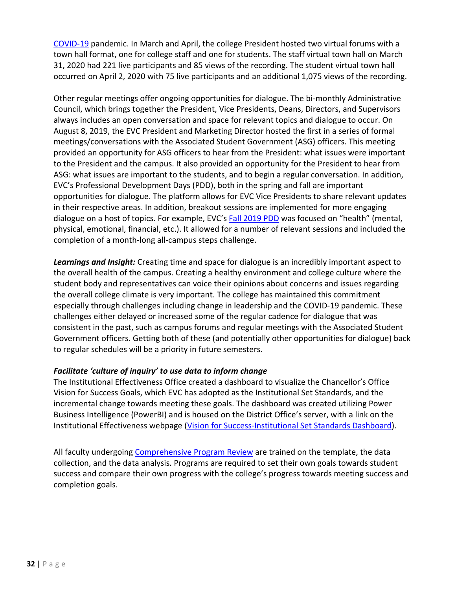[COVID-19](https://www.evc.edu/AcademicAffairs/Documents/COVID-19-SummaryCommunication.pdf) pandemic. In March and April, the college President hosted two virtual forums with a town hall format, one for college staff and one for students. The staff virtual town hall on March 31, 2020 had 221 live participants and 85 views of the recording. The student virtual town hall occurred on April 2, 2020 with 75 live participants and an additional 1,075 views of the recording.

Other regular meetings offer ongoing opportunities for dialogue. The bi-monthly Administrative Council, which brings together the President, Vice Presidents, Deans, Directors, and Supervisors always includes an open conversation and space for relevant topics and dialogue to occur. On August 8, 2019, the EVC President and Marketing Director hosted the first in a series of formal meetings/conversations with the Associated Student Government (ASG) officers. This meeting provided an opportunity for ASG officers to hear from the President: what issues were important to the President and the campus. It also provided an opportunity for the President to hear from ASG: what issues are important to the students, and to begin a regular conversation. In addition, EVC's Professional Development Days (PDD), both in the spring and fall are important opportunities for dialogue. The platform allows for EVC Vice Presidents to share relevant updates in their respective areas. In addition, breakout sessions are implemented for more engaging dialogue on a host of topics. For example, EVC's [Fall 2019 PDD](https://www.evc.edu/AcademicAffairs/Documents/Fall-2019-PDD.pdf) was focused on "health" (mental, physical, emotional, financial, etc.). It allowed for a number of relevant sessions and included the completion of a month-long all-campus steps challenge.

*Learnings and Insight:* Creating time and space for dialogue is an incredibly important aspect to the overall health of the campus. Creating a healthy environment and college culture where the student body and representatives can voice their opinions about concerns and issues regarding the overall college climate is very important. The college has maintained this commitment especially through challenges including change in leadership and the COVID-19 pandemic. These challenges either delayed or increased some of the regular cadence for dialogue that was consistent in the past, such as campus forums and regular meetings with the Associated Student Government officers. Getting both of these (and potentially other opportunities for dialogue) back to regular schedules will be a priority in future semesters.

## *Facilitate 'culture of inquiry' to use data to inform change*

The Institutional Effectiveness Office created a dashboard to visualize the Chancellor's Office Vision for Success Goals, which EVC has adopted as the Institutional Set Standards, and the incremental change towards meeting these goals. The dashboard was created utilizing Power Business Intelligence (PowerBI) and is housed on the District Office's server, with a link on the Institutional Effectiveness webpage [\(Vision for Success-Institutional Set Standards Dashboard\)](https://app.powerbi.com/view?r=eyJrIjoiMmE0MzczOGEtOTA5MC00MzViLWIxYmYtODIxNjIxODYyMmNkIiwidCI6IjdjYzhlMzU3LTQ2OGQtNDcyYy1hNmZjLWM1NjAwZTc4OWI1NSIsImMiOjZ9).

All faculty undergoing [Comprehensive Program Review](https://www.evc.edu/AcademicAffairs/Documents/Comprehensive-PR-template-for-2019-2020.docx) are trained on the template, the data collection, and the data analysis. Programs are required to set their own goals towards student success and compare their own progress with the college's progress towards meeting success and completion goals.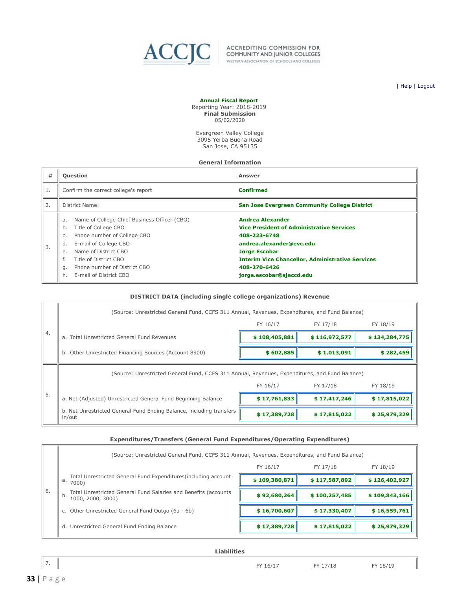<span id="page-32-0"></span>

ACCREDITING COMMISSION FOR<br>COMMUNITY AND JUNIOR COLLEGES WESTERN ASSOCIATION OF SCHOOLS AND COLLEGES

| [Help](javascript:newPopup() | [Logout](https://survey.accjc.org/fiscalreport/CCC/logout.php)

#### **Annual Fiscal Report** Reporting Year: 2018-2019

**Final Submission** 05/02/2020

Evergreen Valley College 3095 Yerba Buena Road San Jose, CA 95135

#### **General Information**

| #  | <b>Question</b>                                                                                                                                                                                                                                         | <b>Answer</b>                                                                                                                                                                                                              |
|----|---------------------------------------------------------------------------------------------------------------------------------------------------------------------------------------------------------------------------------------------------------|----------------------------------------------------------------------------------------------------------------------------------------------------------------------------------------------------------------------------|
| 1. | Confirm the correct college's report                                                                                                                                                                                                                    | <b>Confirmed</b>                                                                                                                                                                                                           |
| 2. | District Name:                                                                                                                                                                                                                                          | <b>San Jose Evergreen Community College District</b>                                                                                                                                                                       |
| 3. | Name of College Chief Business Officer (CBO)<br>a.<br>Title of College CBO<br>b.<br>Phone number of College CBO<br>C.<br>E-mail of College CBO<br>d.<br>Name of District CBO<br>e.<br>f.<br>Title of District CBO<br>Phone number of District CBO<br>g. | <b>Andrea Alexander</b><br><b>Vice President of Administrative Services</b><br>408-223-6748<br>andrea.alexander@evc.edu<br><b>Jorge Escobar</b><br><b>Interim Vice Chancellor, Administrative Services</b><br>408-270-6426 |
|    | E-mail of District CBO<br>h.                                                                                                                                                                                                                            | jorge.escobar@sjeccd.edu                                                                                                                                                                                                   |

#### **DISTRICT DATA (including single college organizations) Revenue**

|    | (Source: Unrestricted General Fund, CCFS 311 Annual, Revenues, Expenditures, and Fund Balance) |               |               |               |  |  |
|----|------------------------------------------------------------------------------------------------|---------------|---------------|---------------|--|--|
|    |                                                                                                | FY 16/17      | FY 17/18      | FY 18/19      |  |  |
| 4. | a. Total Unrestricted General Fund Revenues                                                    | \$108,405,881 | \$116,972,577 | \$134,284,775 |  |  |
|    | b. Other Unrestricted Financing Sources (Account 8900)                                         | \$602,885     | \$1,013,091   | \$282,459     |  |  |
|    | (Source: Unrestricted General Fund, CCFS 311 Annual, Revenues, Expenditures, and Fund Balance) |               |               |               |  |  |
|    |                                                                                                | FY 16/17      | FY 17/18      | FY 18/19      |  |  |
| 5. | a. Net (Adjusted) Unrestricted General Fund Beginning Balance                                  | \$17,761,833  | \$17,417,246  | \$17,815,022  |  |  |
|    | b. Net Unrestricted General Fund Ending Balance, including transfers<br>in/out                 | \$17,389,728  | \$17,815,022  | \$25,979,329  |  |  |

#### **Expenditures/Transfers (General Fund Expenditures/Operating Expenditures)**

|    | (Source: Unrestricted General Fund, CCFS 311 Annual, Revenues, Expenditures, and Fund Balance) |               |               |               |  |
|----|------------------------------------------------------------------------------------------------|---------------|---------------|---------------|--|
|    |                                                                                                | FY 16/17      | FY 17/18      | FY 18/19      |  |
|    | Total Unrestricted General Fund Expenditures (including account<br>а.<br>7000)                 | \$109,380,871 | \$117,587,892 | \$126,402,927 |  |
| 6. | Total Unrestricted General Fund Salaries and Benefits (accounts<br>b.<br>1000, 2000, 3000)     | \$92,680,264  | \$100,257,485 | \$109,843,166 |  |
|    | c. Other Unrestricted General Fund Outgo (6a - 6b)                                             | \$16,700,607  | \$17,330,407  | \$16,559,761  |  |
|    | d. Unrestricted General Fund Ending Balance                                                    | \$17,389,728  | \$17,815,022  | \$25,979,329  |  |

**Liabilities**

| FY 16/17<br>FY 17/18<br>FY 18/19 |  |
|----------------------------------|--|
|                                  |  |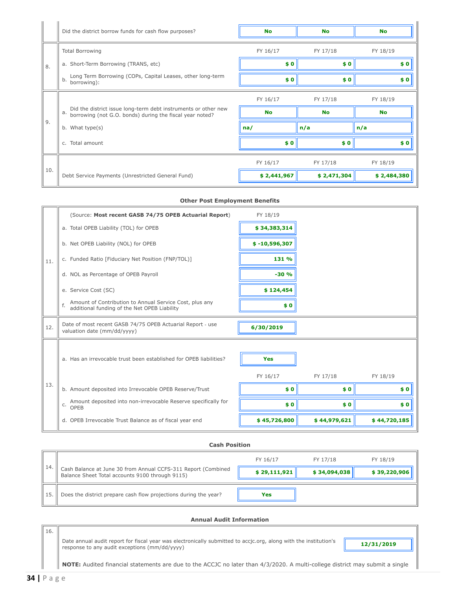|     | Did the district borrow funds for cash flow purposes?                                                                            | <b>No</b>   | <b>No</b>   | <b>No</b>   |  |
|-----|----------------------------------------------------------------------------------------------------------------------------------|-------------|-------------|-------------|--|
|     | <b>Total Borrowing</b>                                                                                                           | FY 16/17    | FY 17/18    | FY 18/19    |  |
| 8.  | a. Short-Term Borrowing (TRANS, etc)                                                                                             | \$0         | \$0         | \$0         |  |
|     | Long Term Borrowing (COPs, Capital Leases, other long-term<br>b.<br>borrowing):                                                  | \$0         | \$0         | \$0         |  |
|     |                                                                                                                                  | FY 16/17    | FY 17/18    | FY 18/19    |  |
|     | Did the district issue long-term debt instruments or other new<br>a.<br>borrowing (not G.O. bonds) during the fiscal year noted? | <b>No</b>   | <b>No</b>   | <b>No</b>   |  |
| 9.  | b. What type(s)                                                                                                                  | na/         | n/a         | n/a         |  |
|     | c. Total amount                                                                                                                  | \$0         | \$0         | \$0         |  |
|     |                                                                                                                                  | FY 16/17    | FY 17/18    | FY 18/19    |  |
| 10. | Debt Service Payments (Unrestricted General Fund)                                                                                | \$2,441,967 | \$2,471,304 | \$2,484,380 |  |

#### **Other Post Employment Benefits**

|     | (Source: Most recent GASB 74/75 OPEB Actuarial Report)                                                  | FY 18/19        |              |              |  |
|-----|---------------------------------------------------------------------------------------------------------|-----------------|--------------|--------------|--|
|     | a. Total OPEB Liability (TOL) for OPEB                                                                  | \$34,383,314    |              |              |  |
|     | b. Net OPEB Liability (NOL) for OPEB                                                                    | $$ -10,596,307$ |              |              |  |
| 11. | c. Funded Ratio [Fiduciary Net Position (FNP/TOL)]                                                      | 131 %           |              |              |  |
|     | d. NOL as Percentage of OPEB Payroll                                                                    | $-30%$          |              |              |  |
|     | e. Service Cost (SC)                                                                                    | \$124,454       |              |              |  |
|     | Amount of Contribution to Annual Service Cost, plus any<br>additional funding of the Net OPEB Liability | \$0             |              |              |  |
| 12. | Date of most recent GASB 74/75 OPEB Actuarial Report - use<br>valuation date (mm/dd/yyyy)               | 6/30/2019       |              |              |  |
|     |                                                                                                         |                 |              |              |  |
|     | a. Has an irrevocable trust been established for OPEB liabilities?                                      | <b>Yes</b>      |              |              |  |
|     |                                                                                                         | FY 16/17        | FY 17/18     | FY 18/19     |  |
| 13. | b. Amount deposited into Irrevocable OPEB Reserve/Trust                                                 | \$0             | \$0          | \$0          |  |
|     | Amount deposited into non-irrevocable Reserve specifically for<br>C.<br>OPEB                            | \$0             | \$0          | \$0          |  |
|     | d. OPEB Irrevocable Trust Balance as of fiscal year end                                                 | \$45,726,800    | \$44,979,621 | \$44,720,185 |  |

#### **Cash Position**

|    |                                                                                                                  | FY 16/17     | FY 17/18     | FY 18/19     |
|----|------------------------------------------------------------------------------------------------------------------|--------------|--------------|--------------|
| 14 | Cash Balance at June 30 from Annual CCFS-311 Report (Combined<br>Balance Sheet Total accounts 9100 through 9115) | \$29,111,921 | \$34,094,038 | \$39,220,906 |
|    | Does the district prepare cash flow projections during the year?                                                 | Yes          |              |              |

#### **Annual Audit Information**

Date annual audit report for fiscal year was electronically submitted to accjc.org, along with the institution's response to any audit exceptions (mm/dd/yyyy) **12/31/2019**

**NOTE:** Audited financial statements are due to the ACCJC no later than 4/3/2020. A multi-college district may submit a single

16.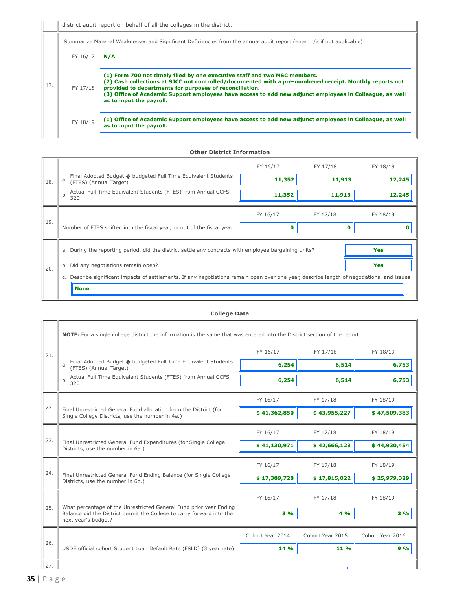|     | Summarize Material Weaknesses and Significant Deficiencies from the annual audit report (enter n/a if not applicable): |                                                                                                                                                                                                                                                                                                                                                                                        |  |  |
|-----|------------------------------------------------------------------------------------------------------------------------|----------------------------------------------------------------------------------------------------------------------------------------------------------------------------------------------------------------------------------------------------------------------------------------------------------------------------------------------------------------------------------------|--|--|
| 17. | FY 16/17                                                                                                               | N / A                                                                                                                                                                                                                                                                                                                                                                                  |  |  |
|     | FY 17/18                                                                                                               | (1) Form 700 not timely filed by one executive staff and two MSC members.<br>(2) Cash collections at SJCC not controlled/documented with a pre-numbered receipt. Monthly reports not<br>provided to departments for purposes of reconciliation.<br>(3) Office of Academic Support employees have access to add new adjunct employees in Colleague, as well<br>as to input the payroll. |  |  |
|     | FY 18/19                                                                                                               | $\mid$ (1) Office of Academic Support employees have access to add new adjunct employees in Colleague, as well<br>as to input the payroll.                                                                                                                                                                                                                                             |  |  |

#### **Other District Information**

|     |                                                                                                                                         | FY 16/17 | FY 17/18 | FY 18/19 |  |  |  |
|-----|-----------------------------------------------------------------------------------------------------------------------------------------|----------|----------|----------|--|--|--|
| 18. | Final Adopted Budget $\hat{\bullet}$ budgeted Full Time Equivalent Students<br>a.<br>(FTES) (Annual Target)                             | 11,352   | 11,913   | 12,245   |  |  |  |
|     | Actual Full Time Equivalent Students (FTES) from Annual CCFS<br>b.<br>320                                                               | 11,352   | 11,913   | 12,245   |  |  |  |
|     |                                                                                                                                         | FY 16/17 | FY 17/18 | FY 18/19 |  |  |  |
| 19. | Number of FTES shifted into the fiscal year, or out of the fiscal year                                                                  |          |          |          |  |  |  |
|     | Yes<br>a. During the reporting period, did the district settle any contracts with employee bargaining units?                            |          |          |          |  |  |  |
| 20. | Did any negotiations remain open?<br>b.                                                                                                 |          | Yes      |          |  |  |  |
|     | Describe significant impacts of settlements. If any negotiations remain open over one year, describe length of negotiations, and issues |          |          |          |  |  |  |
|     | <b>None</b>                                                                                                                             |          |          |          |  |  |  |

#### **College Data**

|     | NOTE: For a single college district the information is the same that was entered into the District section of the report. |                  |                  |                  |  |  |  |
|-----|---------------------------------------------------------------------------------------------------------------------------|------------------|------------------|------------------|--|--|--|
| 21. |                                                                                                                           | FY 16/17         | FY 17/18         | FY 18/19         |  |  |  |
|     | Final Adopted Budget $\lozenge$ budgeted Full Time Equivalent Students<br>a.<br>(FTES) (Annual Target)                    | 6,254            | 6,514            | 6,753            |  |  |  |
|     | Actual Full Time Equivalent Students (FTES) from Annual CCFS<br>b.<br>320                                                 | 6,254            | 6,514            | 6,753            |  |  |  |
|     |                                                                                                                           | FY 16/17         | FY 17/18         | FY 18/19         |  |  |  |
| 22. | Final Unrestricted General Fund allocation from the District (for<br>Single College Districts, use the number in 4a.)     | \$41,362,850     | \$43,955,227     | \$47,509,383     |  |  |  |
|     |                                                                                                                           | FY 16/17         | FY 17/18         | FY 18/19         |  |  |  |
| 23. | Final Unrestricted General Fund Expenditures (for Single College<br>Districts, use the number in 6a.)                     | \$41,130,971     | \$42,666,123     | \$44,930,454     |  |  |  |
| 24. |                                                                                                                           | FY 16/17         | FY 17/18         | FY 18/19         |  |  |  |
|     | Final Unrestricted General Fund Ending Balance (for Single College<br>Districts, use the number in 6d.)                   | \$17,389,728     | \$17,815,022     | \$25,979,329     |  |  |  |
| 25. | What percentage of the Unrestricted General Fund prior year Ending                                                        | FY 16/17         | FY 17/18         | FY 18/19         |  |  |  |
|     | Balance did the District permit the College to carry forward into the<br>next year's budget?                              | 3%               | 4 %              | 3%               |  |  |  |
| 26. |                                                                                                                           | Cohort Year 2014 | Cohort Year 2015 | Cohort Year 2016 |  |  |  |
|     | USDE official cohort Student Loan Default Rate (FSLD) (3 year rate)                                                       | 14 %             | 11 %             | 9%               |  |  |  |
| 27. |                                                                                                                           |                  |                  |                  |  |  |  |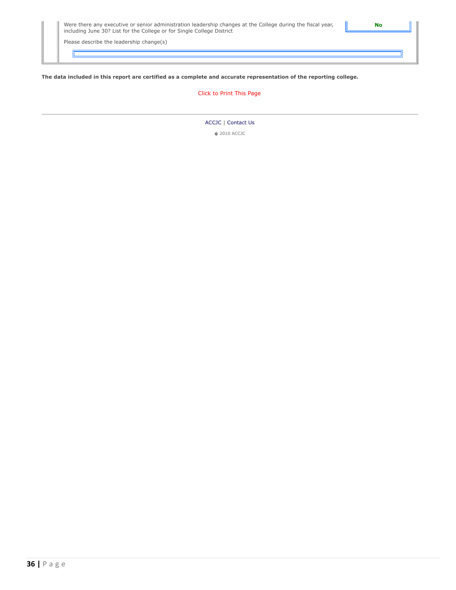| Were there any executive or senior administration leadership changes at the College during the fiscal year, |  |
|-------------------------------------------------------------------------------------------------------------|--|
| including June 30? List for the College or for Single College District                                      |  |

Please describe the leadership change(s)

ID

#### **The data included in this report are certified as a complete and accurate representation of the reporting college.**

#### [Click to Print This Page](javascript:window.print())

#### [ACCJC](http://www.accjc.org/) | [Contact Us](https://survey.accjc.org/fiscalreport/CCC/contactus.php)

� 2010 ACCJC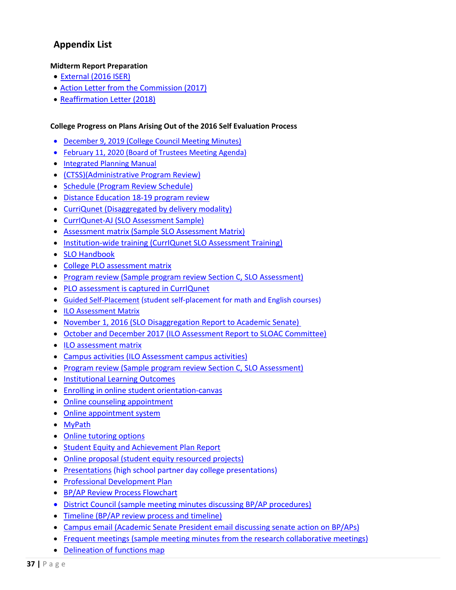# <span id="page-36-0"></span>**Appendix List**

#### **Midterm Report Preparation**

- [External](http://www.evc.edu/AcademicAffairs/Documents/EVC_Accreditation_2016-self-evaluation-report.pdf) (2016 ISER)
- [Action Letter from the Commission](http://www.evc.edu/AcademicAffairs/Documents/Evergreen_Valley_College_Accreditation_Reaffirmation_Letter_02_03_2017.pdf) (2017)
- [Reaffirmation Letter](http://www.evc.edu/AcademicAffairs/Documents/ACCJC-Reaffirmation-Letter_06_13_2018.pdf) (2018)

#### **College Progress on Plans Arising Out of the 2016 Self Evaluation Process**

- [December 9, 2019](https://www.evc.edu/AcademicAffairs/Documents/College-Council-Minutes-December-9-19.pdf) (College Council Meeting Minutes)
- [February 11, 2020](https://www.evc.edu/AcademicAffairs/Documents/BOT-ApprovalEVCMissionRevision-feb-11-2020.pdf) (Board of Trustees Meeting Agenda)
- [Integrated Planning Manual](https://www.evc.edu/AcademicAffairs/Documents/EVCIntegratedPlanningManual-2019.pdf)
- [\(CTSS\)\(](https://www.evc.edu/AcademicAffairs/Documents/CTSS-AUO-PR.pdf)Administrative Program Review)
- [Schedule](https://www.evc.edu/AcademicAffairs/Documents/PR_Schedule_all_June22_2020.xlsx) (Program Review Schedule)
- [Distance Education 18-19 program review](https://www.evc.edu/AcademicAffairs/Documents/DED-19-19-PR.docx)
- [CurriQunet](https://www.evc.edu/AcademicAffairs/Documents/CurriQunet-Diasag-data-CurriculumDevelopment.docx) (Disaggregated by delivery modality)
- [CurrIQunet-AJ](https://www.evc.edu/AcademicAffairs/Documents/CurrIQunet-AJ.-SLO-Assessment-Sample.docx) (SLO Assessment Sample)
- [Assessment matrix](https://www.evc.edu/AcademicAffairs/Documents/assessment-matrix_NURS_002A.pdf) (Sample SLO Assessment Matrix)
- [Institution-wide training](https://www.evc.edu/AcademicAffairs/Documents/institution-wide-CurriQunet-training-PDD-Spr2020-Agenda.pdf) (CurrIQunet SLO Assessment Training)
- [SLO Handbook](https://www.evc.edu/AcademicAffairs/Documents/SLO%20Handbook%20Fall%202017.docx)
- [College PLO assessment matrix](https://www.evc.edu/AcademicAffairs/Documents/college-PLO-matrix-Engineering-PLO-18.docx)
- [Program review](https://www.evc.edu/AcademicAffairs/Documents/program-review_Nursing-PartC.pdf) (Sample program review Section C, SLO Assessment)
- [PLO assessment is captured in CurrIQunet](https://www.evc.edu/AcademicAffairs/Documents/PLO-Assessment-CurrIQunet.docx)
- [Guided Self-Placement](https://www.evc.edu/current-students/evc-first-stop/self-guided-placement) (student self-placement for math and English courses)
- [ILO Assessment Matrix](https://www.evc.edu/AcademicAffairs/Documents/ILO_Assessment-Matrix.docx)
- [November 1, 2016](https://www.evc.edu/AcademicAffairs/Documents/November-2016-AS-agenda-ILO-Evidence-SLO-DisagReport.pdf) (SLO Disaggregation Report to Academic Senate)
- [October and December 2017](https://www.evc.edu/AcademicAffairs/Documents/Oct-and-Dec-SLOAC-minutes.pdf) (ILO Assessment Report to SLOAC Committee)
- [ILO assessment matrix](https://www.evc.edu/AcademicAffairs/Documents/ILO_Assessment-Matrix.docx)
- [Campus activities](https://www.evc.edu/AcademicAffairs/Documents/CampusActivities-ILOEvidence-2018.pdf) (ILO Assessment campus activities)
- [Program review](https://www.evc.edu/AcademicAffairs/Documents/program-review_Nursing-PartC.pdf) (Sample program review Section C, SLO Assessment)
- [Institutional Learning Outcomes](http://www.evc.edu/AcademicAffairs/Documents/evc_ilos_defined.pdf)
- [Enrolling in online student orientation-canvas](https://sjeccd.instructure.com/enroll/XBBA4F)
- [Online counseling appointment](https://evesars.evc.edu/SARS/Counsel_Online/eSARS.asp)
- [Online appointment system](https://evesars.evc.edu/SARS/Counsel/eSARS.asp)
- [MyPath](https://www.evc.edu/current-students/admissions-and-records/mypath)
- [Online tutoring options](https://www.evc.edu/AcademicAffairs/Documents/NetTutor-Online-Tutoring.pdf)
- [Student Equity and Achievement Plan Report](http://www.evc.edu/AcademicAffairs/Documents/EVC_Student%20Equity%20Presentation%2006.06.pdf)
- [Online proposal](https://sjeccd.academicworks.com/opportunities/1902) (student equity resourced projects)
- [Presentations](https://www.evc.edu/AcademicAffairs/Documents/presentations-agenda-HS-partner-day-2019.pdf) (high school partner day college presentations)
- [Professional Development Plan](https://www.evc.edu/President/Documents/Professional_Development_Plan_2019-2020.pdf)
- [BP/AP Review Process Flowchart](https://www.evc.edu/AcademicAffairs/Documents/BP-AP-Review-Process-Flowchart.pdf)
- [District Council](https://www.evc.edu/AcademicAffairs/Documents/District_Council_Minutes_10-24-2019.pdf) (sample meeting minutes discussing BP/AP procedures)
- [Timeline](https://www.evc.edu/AcademicAffairs/Documents/timeline-for-recommended-updates-review-and-cyclica-review.pdf) (BP/AP review process and timeline)
- [Campus email](https://www.evc.edu/AcademicAffairs/Documents/Campus-email-AcadSenateUpdate-BP-AP.pdf) (Academic Senate President email discussing senate action on BP/APs)
- [Frequent meetings](https://www.evc.edu/AcademicAffairs/Documents/frequent-meetings.pdf) (sample meeting minutes from the research collaborative meetings)
- [Delineation of functions map](https://www.evc.edu/AcademicAffairs/Documents/Delineation-of-function-map-Assignment-Spreadsheet.xlsx)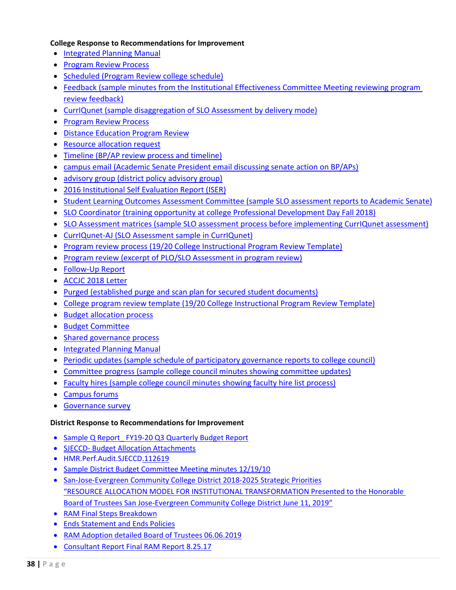#### **College Response to Recommendations for Improvement**

- [Integrated Planning Manual](https://www.evc.edu/AcademicAffairs/Documents/EVCIntegratedPlanningManual-2019.pdf)
- [Program Review Process](https://www.evc.edu/AcademicAffairs/Documents/Program-review-process-PR-template.docx)
- [Scheduled](https://www.evc.edu/AcademicAffairs/Documents/PR_Schedule_all_June22_2020.xlsx) (Program Review college schedule)
- [Feedback](https://www.evc.edu/AcademicAffairs/Documents/feedback.pdf) (sample minutes from the Institutional Effectiveness Committee Meeting reviewing program review feedback)
- [CurrIQunet](https://www.evc.edu/AcademicAffairs/Documents/CurriQunet-Sample-Disaggregated-data-by-delivery-modality.docx) (sample disaggregation of SLO Assessment by delivery mode)
- [Program Review Process](https://www.evc.edu/AcademicAffairs/Documents/Comprehensive-PR-template-for-2019-2020.docx)
- [Distance Education Program](https://www.evc.edu/AcademicAffairs/Documents/DED-19-19-PR.docx) Review
- [Resource allocation request](https://www.evc.edu/AcademicAffairs/Documents/Resource-Allocation-Request-through-program-review.pdf)
- [Timeline](https://www.evc.edu/AcademicAffairs/Documents/timeline-for-recommended-updates-review-and-cyclica-review.pdf) (BP/AP review process and timeline)
- [campus email](https://www.evc.edu/AcademicAffairs/Documents/Campus-email-AcadSenateUpdate-BP-AP.pdf) (Academic Senate President email discussing senate action on BP/APs)
- [advisory group](https://www.evc.edu/AcademicAffairs/Documents/Advisory-Group-District-Policies-Committee-Spring-2019.docx) (district policy advisory group)
- [2016 Institutional Self Evaluation Report \(ISER\)](https://www.evc.edu/discover-evc/accreditation/2016-self-evaluation-report)
- [Student Learning Outcomes Assessment Committee](https://www.evc.edu/AcademicAffairs/Documents/SLOAC-AS-18-19_minutes-SLO.pdf) (sample SLO assessment reports to Academic Senate)
- [SLO Coordinator](https://www.evc.edu/AcademicAffairs/Documents/SLO-coordinator.pdf) (training opportunity at college Professional Development Day Fall 2018)
- [SLO Assessment matrices](https://www.evc.edu/AcademicAffairs/Documents/assessment-matrix_NURS_002A.pdf) (sample SLO assessment process before implementing CurrIQunet assessment)
- [CurrIQunet-AJ](https://www.evc.edu/AcademicAffairs/Documents/CurrIQunet-AJ.-SLO-Assessment-Sample.docx) (SLO Assessment sample in CurrIQunet)
- [Program review process](https://www.evc.edu/AcademicAffairs/Documents/Program-review-process-PR-template.docx) (19/20 College Instructional Program Review Template)
- [Program review](https://www.evc.edu/AcademicAffairs/Documents/Program-Review-PLO-SLO-Analysis-Excerpt-AJ-PR18-19.docx) (excerpt of PLO/SLO Assessment in program review)
- [Follow-Up Report](http://www.evc.edu/discover-evc/accreditation/2018-follow-up-report)
- [ACCJC 2018 Letter](https://www.evc.edu/AcademicAffairs/Documents/ACCJC-Reaffirmation-Letter_06_13_2018.pdf)
- [Purged](https://www.evc.edu/AcademicAffairs/Documents/purged-Memo-about-fire-proof-storage.pdf) (established purge and scan plan for secured student documents)
- [College program review template](https://www.evc.edu/AcademicAffairs/Documents/Program-review-process-PR-template.docx) (19/20 College Instructional Program Review Template)
- [Budget allocation process](https://www.evc.edu/AcademicAffairs/Documents/Budget-allocation-process.pdf)
- [Budget Committee](https://www.evc.edu/AcademicAffairs/Documents/Budget-Committee-Annual-Self-Eval-Report.docx)
- [Shared governance process](https://www.evc.edu/AcademicAffairs/Documents/IPM_manual-pages-15-29.pdf)
- [Integrated Planning Manual](https://www.evc.edu/AcademicAffairs/Documents/EVCIntegratedPlanningManual-2019.pdf)
- [Periodic updates](https://www.evc.edu/AcademicAffairs/Documents/periodic-updates.pdf) (sample schedule of participatory governance reports to college council)
- [Committee progress](https://www.evc.edu/AcademicAffairs/Documents/committee-progress_2018-2019_CC_Minutes-SGReports-Hiring.pdf) (sample college council minutes showing committee updates)
- [Faculty hires](https://www.evc.edu/AcademicAffairs/Documents/faculty-hires.pdf) (sample college council minutes showing faculty hire list process)
- [Campus forums](https://www.evc.edu/AcademicAffairs/Documents/campus-forum.pdf)
- [Governance survey](https://www.evc.edu/AcademicAffairs/Documents/Governance_Survey.pdf)

#### **District Response to Recommendations for Improvement**

- [Sample Q Report\\_ FY19-20 Q3 Quarterly Budget Report](https://www.evc.edu/AcademicAffairs/Documents/Sample-Q-Report_FY19-20_Q3-Quarterly-Budget-Report.pdf)
- SJECCD- [Budget Allocation Attachments](https://www.evc.edu/AcademicAffairs/Documents/SJECCD-Budget-Allocation-Attachments.pdf)
- [HMR.Perf.Audit.SJECCD.112619](https://www.evc.edu/AcademicAffairs/Documents/HMR-Perf-Audit-SJECCD-112519.pdf)
- [Sample District Budget Committee Meeting minutes 12/19/10](https://www.evc.edu/AcademicAffairs/Documents/Sample-District-Budget-Committee-Minutes-12-19-19.pdf)
- [San-Jose-Evergreen Community College District 2018-2025 Strategic Priorities](https://www.sjeccd.edu/RIE/Documents/2018-2025_Strategic_Priorities.pdf) ["RESOURCE ALLOCATION MODEL FOR INSTITUTIONAL TRANSFORMATION Presented to the](https://www.evc.edu/AcademicAffairs/Documents/Resource-allocation-model-for-institutional-transformation.pdf) [Honorable](https://www.evc.edu/AcademicAffairs/Documents/Resource-allocation-model-for-institutional-transformation.pdf)  [Board of Trustees San Jose-Evergreen Community College District June 11, 2019"](https://www.evc.edu/AcademicAffairs/Documents/Resource-allocation-model-for-institutional-transformation.pdf)
- [RAM Final Steps Breakdown](https://www.evc.edu/AcademicAffairs/Documents/RAM-final-steps-breakdown.pdf)
- [Ends Statement and](https://www.sjeccd.edu/Chancellor/Documents/Ends%20Statement%20and%20Ends%20Policies.pdf) Ends Policies
- [RAM Adoption detailed Board of Trustees 06.06.2019](https://www.evc.edu/AcademicAffairs/Documents/RAM-adoption-detailed-Board-of-Trustees-06-06-2019.pdf)
- [Consultant Report Final RAM Report 8.25.17](https://www.evc.edu/AcademicAffairs/Documents/Consultant-Report_Final-RAM-Report-8-25-17.pdf)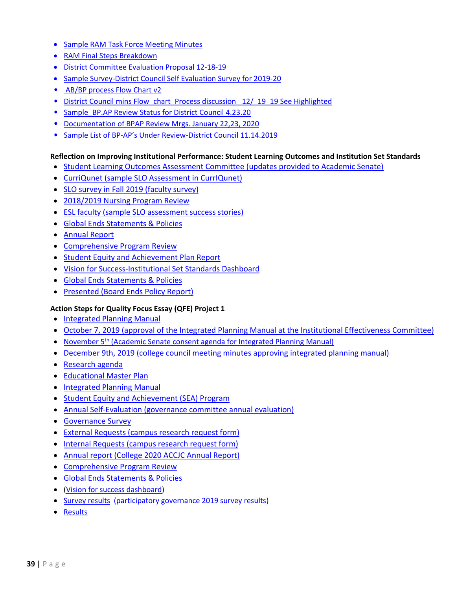- [Sample RAM Task Force Meeting Minutes](https://www.evc.edu/AcademicAffairs/Documents/Sample_RAMTaskfoce_Minutes-2-12-18.pdf)
- [RAM Final Steps Breakdown](https://www.evc.edu/AcademicAffairs/Documents/RAM-final-steps-breakdown.pdf)
- [District Committee Evaluation Proposal 12-18-19](https://www.evc.edu/AcademicAffairs/Documents/District-Committees-Evaluation-Proposal-12-18-19.docx)
- [Sample Survey-District Council Self Evaluation Survey for 2019-20](https://www.evc.edu/AcademicAffairs/Documents/Sample-Survey-District_Council_Self-Evaluation_Survey_for_2019-20.docx)
- [AB/BP process Flow Chart v2](https://www.evc.edu/AcademicAffairs/Documents/BP-AP-Review-Process-Flowchart.pdf)
- District Council mins Flow chart Process discussion 12/ 19 19 See Highlighted
- Sample BP.AP Review Status for District Council 4.23.20
- [Documentation of BPAP Review Mrgs. January 22,23, 2020](https://www.evc.edu/AcademicAffairs/Documents/Documentation-of-BPAP-Review-Mtgs-Jan22-23-2020.docx)
- [Sample List of BP-AP's Under Review-District Council 11.14.2019](https://www.evc.edu/AcademicAffairs/Documents/Timeline-Sample-List-of-BP-APs-Under-Review-11.14.19.docx)

#### **Reflection on Improving Institutional Performance: Student Learning Outcomes and Institution Set Standards**

- [Student Learning Outcomes Assessment Committee](https://www.evc.edu/AcademicAffairs/Documents/SLOAC-AS-18-19_minutes-SLO.pdf) (updates provided to Academic Senate)
- [CurriQunet](https://www.evc.edu/AcademicAffairs/Documents/CurrIQunet-AJ.-SLO-Assessment-Sample.docx) (sample SLO Assessment in CurrIQunet)
- [SLO survey in Fall 2019](https://www.evc.edu/AcademicAffairs/Documents/SLO-Survey_Nov25-2019.xlsx) (faculty survey)
- [2018/2019 Nursing Program Review](https://www.evc.edu/AcademicAffairs/Documents/18-19_Nursing-PR-pages27-28.pdf)
- [ESL faculty](https://www.evc.edu/AcademicAffairs/Documents/ESL-faculty-PR.pdf) (sample SLO assessment success stories)
- [Global Ends Statements & Policies](https://www.evc.edu/AcademicAffairs/Documents/Ends_Statement_and_Ends_Policies.pdf)
- [Annual Report](https://www.evc.edu/AcademicAffairs/Documents/ACCJC-2020-Annual-Report.pdf)
- [Comprehensive Program Review](https://www.evc.edu/AcademicAffairs/Documents/Comprehensive-Program-Review-template-for-19-20-page3.pdf)
- Student Equity and [Achievement Plan Report](http://www.evc.edu/AcademicAffairs/Documents/EVC_Student%20Equity%20Presentation%2006.06.pdf)
- [Vision for Success-Institutional Set Standards Dashboard](https://app.powerbi.com/view?r=eyJrIjoiMmE0MzczOGEtOTA5MC00MzViLWIxYmYtODIxNjIxODYyMmNkIiwidCI6IjdjYzhlMzU3LTQ2OGQtNDcyYy1hNmZjLWM1NjAwZTc4OWI1NSIsImMiOjZ9)
- [Global Ends Statements & Policies](https://www.evc.edu/AcademicAffairs/Documents/Ends_Statement_and_Ends_Policies.pdf)
- [Presented](https://www.sjeccd.edu/Chancellor/Documents/IESS_Student_Success_Report_First%20Monitoring_Report_Final_5.14.19.pdf) (Board Ends Policy Report)

#### **Action Steps for Quality Focus Essay (QFE) Project 1**

- [Integrated Planning Manual](https://www.evc.edu/AcademicAffairs/Documents/EVCIntegratedPlanningManual-2019.pdf)
- [October 7, 2019](https://www.evc.edu/AcademicAffairs/Documents/Oct7_2019-IEC_Minutes-IPM.pdf) (approval of the Integrated Planning Manual at the Institutional Effectiveness Committee)
- November 5<sup>th</sup> [\(Academic Senate consent agenda for Integrated Planning Manual\)](https://www.evc.edu/AcademicAffairs/Documents/Nov-5th-AS_minutes.pdf)
- [December 9th, 2019](https://www.evc.edu/AcademicAffairs/Documents/Dec-9th-2019_college-council-minutes.pdf) (college council meeting minutes approving integrated planning manual)
- [Research agenda](https://www.evc.edu/AcademicAffairs/Documents/Research%20Agenda.pdf)
- [Educational Master Plan](http://www.evc.edu/President/Documents/Educational-Master-Plan.pdf)
- [Integrated Planning Manual](https://www.evc.edu/AcademicAffairs/Documents/EVCIntegratedPlanningManual-2019.pdf)
- [Student Equity and Achievement \(SEA\) Program](http://www.evc.edu/AcademicAffairs/Documents/Executive-Summary-Integrated-Plan-2017-19.pdf)
- [Annual Self-Evaluation](https://www.evc.edu/AcademicAffairs/Documents/Annual-Self-Evaluation.pdf) (governance committee annual evaluation)
- [Governance Survey](https://www.evc.edu/AcademicAffairs/Documents/Governance_Survey.pdf)
- [External Requests](https://sjeccd.qualtrics.com/jfe/form/SV_6hxVx9ysxkg5CXr) (campus research request form)
- [Internal Requests](https://services.sjeccd.edu/TDClient/1862/Portal/Requests/ServiceDet?ID=36935) (campus research request form)
- [Annual report](https://www.evc.edu/AcademicAffairs/Documents/ACCJC-2020-Annual-Report.pdf) (College 2020 ACCJC Annual Report)
- [Comprehensive Program Review](https://www.evc.edu/AcademicAffairs/Documents/Comprehensive-Program-Review-template-for-19-20-page3.pdf)
- [Global Ends Statements & Policies](https://www.evc.edu/AcademicAffairs/Documents/Ends_Statement_and_Ends_Policies.pdf)
- [\(Vision for success dashboard\)](https://app.powerbi.com/view?r=eyJrIjoiMmE0MzczOGEtOTA5MC00MzViLWIxYmYtODIxNjIxODYyMmNkIiwidCI6IjdjYzhlMzU3LTQ2OGQtNDcyYy1hNmZjLWM1NjAwZTc4OWI1NSIsImMiOjZ9)
- [Survey results](http://www.evc.edu/AcademicAffairs/Documents/Survey%20Results-Participatory%20Governance.pdf) (participatory governance 2019 survey results)
- [Results](http://www.evc.edu/AcademicAffairs/Documents/Survey%20Results-Participatory%20Governance.pdf)